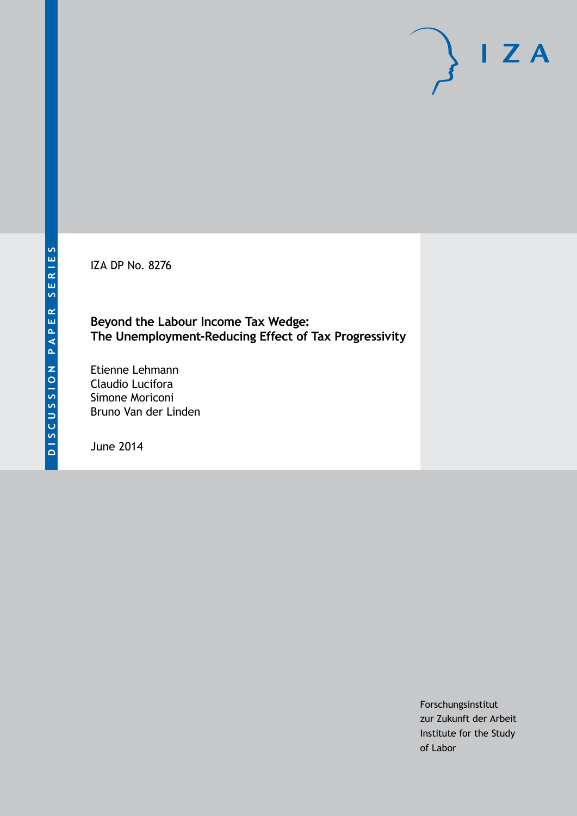IZA DP No. 8276

**Beyond the Labour Income Tax Wedge: The Unemployment-Reducing Effect of Tax Progressivity**

Etienne Lehmann Claudio Lucifora Simone Moriconi Bruno Van der Linden

June 2014

Forschungsinstitut zur Zukunft der Arbeit Institute for the Study of Labor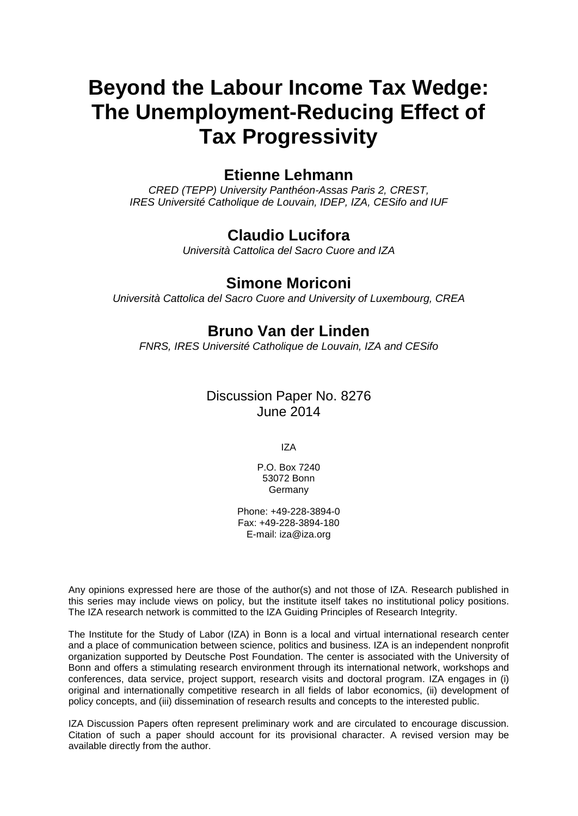# **Beyond the Labour Income Tax Wedge: The Unemployment-Reducing Effect of Tax Progressivity**

# **Etienne Lehmann**

*CRED (TEPP) University Panthéon-Assas Paris 2, CREST, IRES Université Catholique de Louvain, IDEP, IZA, CESifo and IUF*

# **Claudio Lucifora**

*Università Cattolica del Sacro Cuore and IZA*

# **Simone Moriconi**

*Università Cattolica del Sacro Cuore and University of Luxembourg, CREA*

# **Bruno Van der Linden**

*FNRS, IRES Université Catholique de Louvain, IZA and CESifo*

# Discussion Paper No. 8276 June 2014

IZA

P.O. Box 7240 53072 Bonn Germany

Phone: +49-228-3894-0 Fax: +49-228-3894-180 E-mail: [iza@iza.org](mailto:iza@iza.org)

Any opinions expressed here are those of the author(s) and not those of IZA. Research published in this series may include views on policy, but the institute itself takes no institutional policy positions. The IZA research network is committed to the IZA Guiding Principles of Research Integrity.

<span id="page-1-0"></span>The Institute for the Study of Labor (IZA) in Bonn is a local and virtual international research center and a place of communication between science, politics and business. IZA is an independent nonprofit organization supported by Deutsche Post Foundation. The center is associated with the University of Bonn and offers a stimulating research environment through its international network, workshops and conferences, data service, project support, research visits and doctoral program. IZA engages in (i) original and internationally competitive research in all fields of labor economics, (ii) development of policy concepts, and (iii) dissemination of research results and concepts to the interested public.

IZA Discussion Papers often represent preliminary work and are circulated to encourage discussion. Citation of such a paper should account for its provisional character. A revised version may be available directly from the author.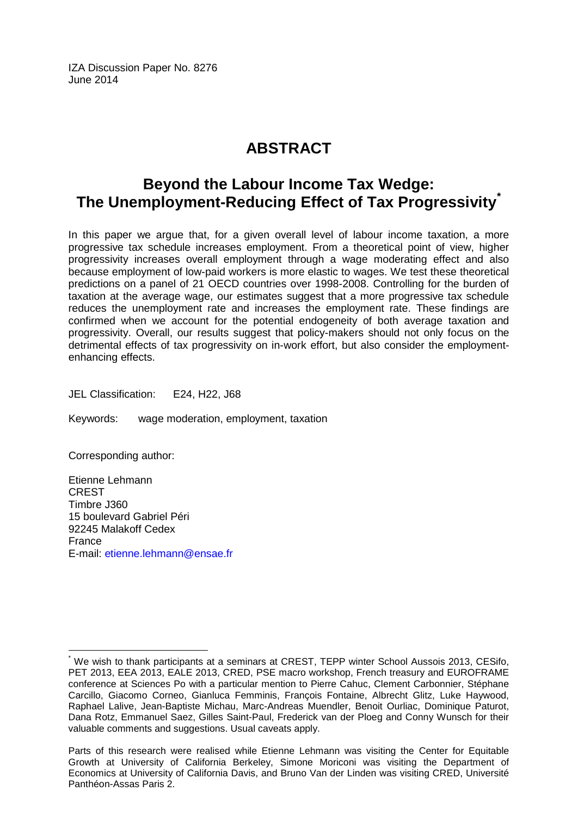IZA Discussion Paper No. 8276 June 2014

# **ABSTRACT**

# **Beyond the Labour Income Tax Wedge: The Unemployment-Reducing Effect of Tax Progressivity[\\*](#page-1-0)**

In this paper we argue that, for a given overall level of labour income taxation, a more progressive tax schedule increases employment. From a theoretical point of view, higher progressivity increases overall employment through a wage moderating effect and also because employment of low-paid workers is more elastic to wages. We test these theoretical predictions on a panel of 21 OECD countries over 1998-2008. Controlling for the burden of taxation at the average wage, our estimates suggest that a more progressive tax schedule reduces the unemployment rate and increases the employment rate. These findings are confirmed when we account for the potential endogeneity of both average taxation and progressivity. Overall, our results suggest that policy-makers should not only focus on the detrimental effects of tax progressivity on in-work effort, but also consider the employmentenhancing effects.

JEL Classification: E24, H22, J68

Keywords: wage moderation, employment, taxation

Corresponding author:

Etienne Lehmann CREST Timbre J360 15 boulevard Gabriel Péri 92245 Malakoff Cedex France E-mail: [etienne.lehmann@ensae.fr](mailto:etienne.lehmann@ensae.fr)

We wish to thank participants at a seminars at CREST, TEPP winter School Aussois 2013, CESifo, PET 2013, EEA 2013, EALE 2013, CRED, PSE macro workshop, French treasury and EUROFRAME conference at Sciences Po with a particular mention to Pierre Cahuc, Clement Carbonnier, Stéphane Carcillo, Giacomo Corneo, Gianluca Femminis, François Fontaine, Albrecht Glitz, Luke Haywood, Raphael Lalive, Jean-Baptiste Michau, Marc-Andreas Muendler, Benoit Ourliac, Dominique Paturot, Dana Rotz, Emmanuel Saez, Gilles Saint-Paul, Frederick van der Ploeg and Conny Wunsch for their valuable comments and suggestions. Usual caveats apply.

Parts of this research were realised while Etienne Lehmann was visiting the Center for Equitable Growth at University of California Berkeley, Simone Moriconi was visiting the Department of Economics at University of California Davis, and Bruno Van der Linden was visiting CRED, Université Panthéon-Assas Paris 2.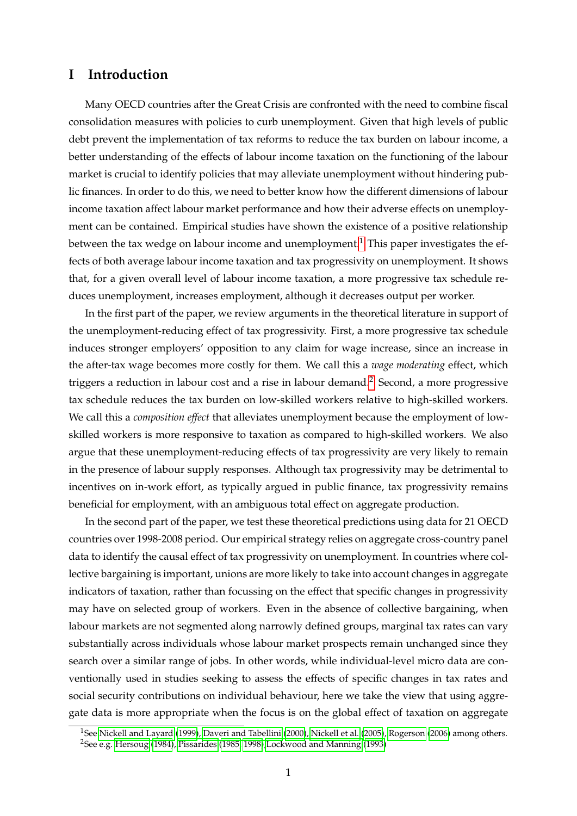### **I Introduction**

Many OECD countries after the Great Crisis are confronted with the need to combine fiscal consolidation measures with policies to curb unemployment. Given that high levels of public debt prevent the implementation of tax reforms to reduce the tax burden on labour income, a better understanding of the effects of labour income taxation on the functioning of the labour market is crucial to identify policies that may alleviate unemployment without hindering public finances. In order to do this, we need to better know how the different dimensions of labour income taxation affect labour market performance and how their adverse effects on unemployment can be contained. Empirical studies have shown the existence of a positive relationship between the tax wedge on labour income and unemployment.<sup>[1](#page-3-0)</sup> This paper investigates the effects of both average labour income taxation and tax progressivity on unemployment. It shows that, for a given overall level of labour income taxation, a more progressive tax schedule reduces unemployment, increases employment, although it decreases output per worker.

In the first part of the paper, we review arguments in the theoretical literature in support of the unemployment-reducing effect of tax progressivity. First, a more progressive tax schedule induces stronger employers' opposition to any claim for wage increase, since an increase in the after-tax wage becomes more costly for them. We call this a *wage moderating* effect, which triggers a reduction in labour cost and a rise in labour demand.<sup>[2](#page-3-1)</sup> Second, a more progressive tax schedule reduces the tax burden on low-skilled workers relative to high-skilled workers. We call this a *composition effect* that alleviates unemployment because the employment of lowskilled workers is more responsive to taxation as compared to high-skilled workers. We also argue that these unemployment-reducing effects of tax progressivity are very likely to remain in the presence of labour supply responses. Although tax progressivity may be detrimental to incentives on in-work effort, as typically argued in public finance, tax progressivity remains beneficial for employment, with an ambiguous total effect on aggregate production.

In the second part of the paper, we test these theoretical predictions using data for 21 OECD countries over 1998-2008 period. Our empirical strategy relies on aggregate cross-country panel data to identify the causal effect of tax progressivity on unemployment. In countries where collective bargaining is important, unions are more likely to take into account changes in aggregate indicators of taxation, rather than focussing on the effect that specific changes in progressivity may have on selected group of workers. Even in the absence of collective bargaining, when labour markets are not segmented along narrowly defined groups, marginal tax rates can vary substantially across individuals whose labour market prospects remain unchanged since they search over a similar range of jobs. In other words, while individual-level micro data are conventionally used in studies seeking to assess the effects of specific changes in tax rates and social security contributions on individual behaviour, here we take the view that using aggregate data is more appropriate when the focus is on the global effect of taxation on aggregate

<span id="page-3-1"></span><span id="page-3-0"></span><sup>&</sup>lt;sup>1</sup>See [Nickell and Layard](#page-37-0) [\(1999\)](#page-37-0), [Daveri and Tabellini](#page-35-0) [\(2000\)](#page-35-0), [Nickell et al.](#page-37-1) [\(2005\)](#page-37-1), [Rogerson](#page-37-2) [\(2006\)](#page-37-2) among others. <sup>2</sup>See e.g. [Hersoug](#page-36-0) [\(1984\)](#page-36-0), [Pissarides](#page-37-3) [\(1985,](#page-37-3) [1998\)](#page-37-4)[,Lockwood and Manning](#page-36-1) [\(1993\)](#page-36-1)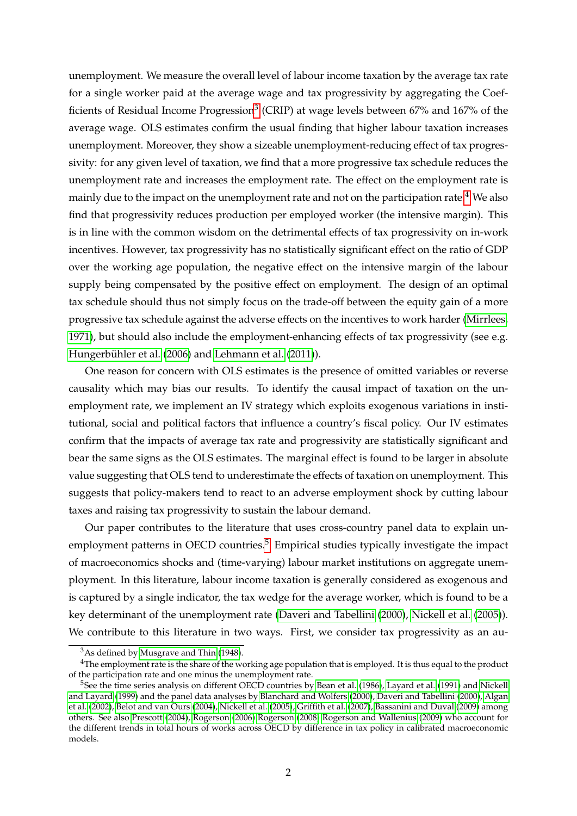unemployment. We measure the overall level of labour income taxation by the average tax rate for a single worker paid at the average wage and tax progressivity by aggregating the Coef-ficients of Residual Income Progression<sup>[3](#page-4-0)</sup> (CRIP) at wage levels between 67% and 167% of the average wage. OLS estimates confirm the usual finding that higher labour taxation increases unemployment. Moreover, they show a sizeable unemployment-reducing effect of tax progressivity: for any given level of taxation, we find that a more progressive tax schedule reduces the unemployment rate and increases the employment rate. The effect on the employment rate is mainly due to the impact on the unemployment rate and not on the participation rate.<sup>[4](#page-4-1)</sup> We also find that progressivity reduces production per employed worker (the intensive margin). This is in line with the common wisdom on the detrimental effects of tax progressivity on in-work incentives. However, tax progressivity has no statistically significant effect on the ratio of GDP over the working age population, the negative effect on the intensive margin of the labour supply being compensated by the positive effect on employment. The design of an optimal tax schedule should thus not simply focus on the trade-off between the equity gain of a more progressive tax schedule against the adverse effects on the incentives to work harder [\(Mirrlees,](#page-36-2) [1971\)](#page-36-2), but should also include the employment-enhancing effects of tax progressivity (see e.g. Hungerbühler et al. [\(2006\)](#page-36-3) and [Lehmann et al.](#page-36-4) [\(2011\)](#page-36-4)).

One reason for concern with OLS estimates is the presence of omitted variables or reverse causality which may bias our results. To identify the causal impact of taxation on the unemployment rate, we implement an IV strategy which exploits exogenous variations in institutional, social and political factors that influence a country's fiscal policy. Our IV estimates confirm that the impacts of average tax rate and progressivity are statistically significant and bear the same signs as the OLS estimates. The marginal effect is found to be larger in absolute value suggesting that OLS tend to underestimate the effects of taxation on unemployment. This suggests that policy-makers tend to react to an adverse employment shock by cutting labour taxes and raising tax progressivity to sustain the labour demand.

Our paper contributes to the literature that uses cross-country panel data to explain un-employment patterns in OECD countries.<sup>[5](#page-4-2)</sup> Empirical studies typically investigate the impact of macroeconomics shocks and (time-varying) labour market institutions on aggregate unemployment. In this literature, labour income taxation is generally considered as exogenous and is captured by a single indicator, the tax wedge for the average worker, which is found to be a key determinant of the unemployment rate [\(Daveri and Tabellini](#page-35-0) [\(2000\)](#page-35-0), [Nickell et al.](#page-37-1) [\(2005\)](#page-37-1)). We contribute to this literature in two ways. First, we consider tax progressivity as an au-

<span id="page-4-1"></span><span id="page-4-0"></span><sup>3</sup>As defined by [Musgrave and Thin](#page-37-5) [\(1948\)](#page-37-5).

<sup>&</sup>lt;sup>4</sup>The employment rate is the share of the working age population that is employed. It is thus equal to the product of the participation rate and one minus the unemployment rate.

<span id="page-4-2"></span><sup>5</sup>See the time series analysis on different OECD countries by [Bean et al.](#page-34-0) [\(1986\)](#page-34-0), [Layard et al.](#page-36-5) [\(1991\)](#page-36-5) and [Nickell](#page-37-0) [and Layard](#page-37-0) [\(1999\)](#page-37-0) and the panel data analyses by [Blanchard and Wolfers](#page-34-1) [\(2000\)](#page-34-1), [Daveri and Tabellini](#page-35-0) [\(2000\)](#page-35-0), [Algan](#page-34-2) [et al.](#page-34-2) [\(2002\)](#page-34-2), [Belot and van Ours](#page-34-3) [\(2004\)](#page-34-3), [Nickell et al.](#page-37-1) [\(2005\)](#page-37-1), [Griffith et al.](#page-35-1) [\(2007\)](#page-35-1), [Bassanini and Duval](#page-34-4) [\(2009\)](#page-34-4) among others. See also [Prescott](#page-37-6) [\(2004\)](#page-37-6), [Rogerson](#page-37-2) [\(2006\)](#page-37-2) [Rogerson](#page-37-7) [\(2008\)](#page-37-7) [Rogerson and Wallenius](#page-37-8) [\(2009\)](#page-37-8) who account for the different trends in total hours of works across OECD by difference in tax policy in calibrated macroeconomic models.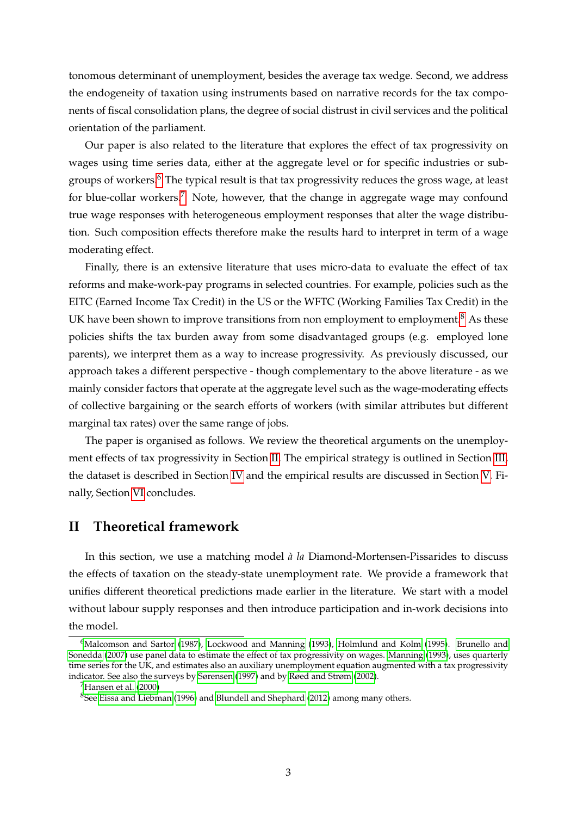tonomous determinant of unemployment, besides the average tax wedge. Second, we address the endogeneity of taxation using instruments based on narrative records for the tax components of fiscal consolidation plans, the degree of social distrust in civil services and the political orientation of the parliament.

Our paper is also related to the literature that explores the effect of tax progressivity on wages using time series data, either at the aggregate level or for specific industries or sub-groups of workers.<sup>[6](#page-5-0)</sup> The typical result is that tax progressivity reduces the gross wage, at least for blue-collar workers.<sup>[7](#page-5-1)</sup> Note, however, that the change in aggregate wage may confound true wage responses with heterogeneous employment responses that alter the wage distribution. Such composition effects therefore make the results hard to interpret in term of a wage moderating effect.

Finally, there is an extensive literature that uses micro-data to evaluate the effect of tax reforms and make-work-pay programs in selected countries. For example, policies such as the EITC (Earned Income Tax Credit) in the US or the WFTC (Working Families Tax Credit) in the UK have been shown to improve transitions from non employment to employment. $8$  As these policies shifts the tax burden away from some disadvantaged groups (e.g. employed lone parents), we interpret them as a way to increase progressivity. As previously discussed, our approach takes a different perspective - though complementary to the above literature - as we mainly consider factors that operate at the aggregate level such as the wage-moderating effects of collective bargaining or the search efforts of workers (with similar attributes but different marginal tax rates) over the same range of jobs.

The paper is organised as follows. We review the theoretical arguments on the unemployment effects of tax progressivity in Section [II.](#page-5-3) The empirical strategy is outlined in Section [III,](#page-13-0) the dataset is described in Section [IV](#page-18-0) and the empirical results are discussed in Section [V.](#page-22-0) Finally, Section [VI](#page-30-0) concludes.

### <span id="page-5-3"></span>**II Theoretical framework**

In this section, we use a matching model  $\hat{a}$  la Diamond-Mortensen-Pissarides to discuss the effects of taxation on the steady-state unemployment rate. We provide a framework that unifies different theoretical predictions made earlier in the literature. We start with a model without labour supply responses and then introduce participation and in-work decisions into the model.

<span id="page-5-1"></span><sup>7</sup>[Hansen et al.](#page-36-9) [\(2000\)](#page-36-9)

<span id="page-5-0"></span><sup>&</sup>lt;sup>6</sup>[Malcomson and Sartor](#page-36-6) [\(1987\)](#page-36-6), [Lockwood and Manning](#page-36-1) [\(1993\)](#page-36-1), [Holmlund and Kolm](#page-36-7) [\(1995\)](#page-36-7). [Brunello and](#page-35-2) [Sonedda](#page-35-2) [\(2007\)](#page-35-2) use panel data to estimate the effect of tax progressivity on wages. [Manning](#page-36-8) [\(1993\)](#page-36-8), uses quarterly time series for the UK, and estimates also an auxiliary unemployment equation augmented with a tax progressivity indicator. See also the surveys by [Sørensen](#page-38-0) [\(1997\)](#page-38-0) and by [Røed and Strøm](#page-37-9) [\(2002\)](#page-37-9).

<span id="page-5-2"></span><sup>&</sup>lt;sup>8</sup>See [Eissa and Liebman](#page-35-3) [\(1996\)](#page-35-3) and [Blundell and Shephard](#page-35-4) [\(2012\)](#page-35-4) among many others.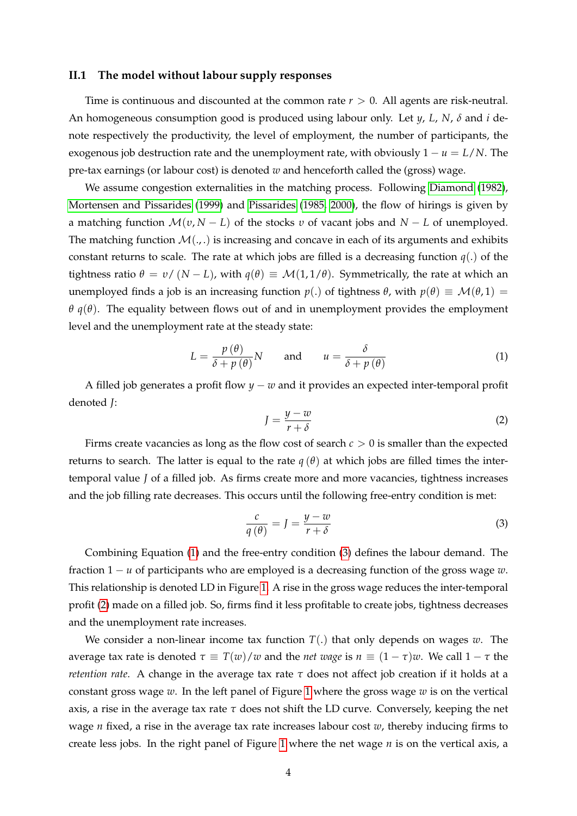#### **II.1 The model without labour supply responses**

Time is continuous and discounted at the common rate  $r > 0$ . All agents are risk-neutral. An homogeneous consumption good is produced using labour only. Let *y*, *L*, *N*, *δ* and *i* denote respectively the productivity, the level of employment, the number of participants, the exogenous job destruction rate and the unemployment rate, with obviously  $1 - u = L/N$ . The pre-tax earnings (or labour cost) is denoted *w* and henceforth called the (gross) wage.

We assume congestion externalities in the matching process. Following [Diamond](#page-35-5) [\(1982\)](#page-35-5), [Mortensen and Pissarides](#page-37-10) [\(1999\)](#page-37-10) and [Pissarides](#page-37-3) [\(1985,](#page-37-3) [2000\)](#page-37-11), the flow of hirings is given by a matching function M(*υ*, *N* − *L*) of the stocks *υ* of vacant jobs and *N* − *L* of unemployed. The matching function  $\mathcal{M}(\cdot,\cdot)$  is increasing and concave in each of its arguments and exhibits constant returns to scale. The rate at which jobs are filled is a decreasing function  $q(.)$  of the tightness ratio *θ* = *υ*/ (*N* − *L*), with  $q(θ)$  ≡  $M(1, 1/θ)$ . Symmetrically, the rate at which an unemployed finds a job is an increasing function  $p(.)$  of tightness  $\theta$ , with  $p(\theta) \equiv \mathcal{M}(\theta, 1)$ *θ*  $q$ (*θ*). The equality between flows out of and in unemployment provides the employment level and the unemployment rate at the steady state:

<span id="page-6-0"></span>
$$
L = \frac{p(\theta)}{\delta + p(\theta)}N \quad \text{and} \quad u = \frac{\delta}{\delta + p(\theta)} \tag{1}
$$

A filled job generates a profit flow *y* − *w* and it provides an expected inter-temporal profit denoted *J*:

<span id="page-6-2"></span>
$$
J = \frac{y - w}{r + \delta} \tag{2}
$$

Firms create vacancies as long as the flow cost of search *c* > 0 is smaller than the expected returns to search. The latter is equal to the rate  $q(\theta)$  at which jobs are filled times the intertemporal value *J* of a filled job. As firms create more and more vacancies, tightness increases and the job filling rate decreases. This occurs until the following free-entry condition is met:

<span id="page-6-1"></span>
$$
\frac{c}{q(\theta)} = J = \frac{y - w}{r + \delta} \tag{3}
$$

Combining Equation [\(1\)](#page-6-0) and the free-entry condition [\(3\)](#page-6-1) defines the labour demand. The fraction 1 − *u* of participants who are employed is a decreasing function of the gross wage *w*. This relationship is denoted LD in Figure [1.](#page-7-0) A rise in the gross wage reduces the inter-temporal profit [\(2\)](#page-6-2) made on a filled job. So, firms find it less profitable to create jobs, tightness decreases and the unemployment rate increases.

We consider a non-linear income tax function  $T(.)$  that only depends on wages  $w$ . The average tax rate is denoted  $\tau \equiv T(w)/w$  and the *net wage* is  $n \equiv (1 - \tau)w$ . We call  $1 - \tau$  the *retention rate*. A change in the average tax rate  $\tau$  does not affect job creation if it holds at a constant gross wage *w*. In the left panel of Figure [1](#page-7-0) where the gross wage *w* is on the vertical axis, a rise in the average tax rate *τ* does not shift the LD curve. Conversely, keeping the net wage *n* fixed, a rise in the average tax rate increases labour cost *w*, thereby inducing firms to create less jobs. In the right panel of Figure [1](#page-7-0) where the net wage *n* is on the vertical axis, a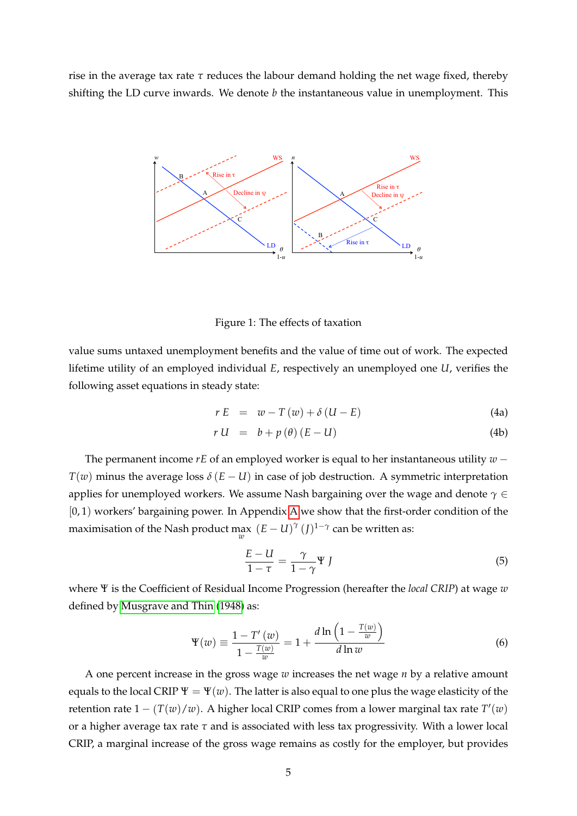rise in the average tax rate  $\tau$  reduces the labour demand holding the net wage fixed, thereby shifting the LD curve inwards. We denote *b* the instantaneous value in unemployment. This



<span id="page-7-0"></span>Figure 1: The effects of taxation

value sums untaxed unemployment benefits and the value of time out of work. The expected lifetime utility of an employed individual *E*, respectively an unemployed one *U*, verifies the following asset equations in steady state:

<span id="page-7-3"></span>
$$
r E = w - T(w) + \delta (U - E) \tag{4a}
$$

$$
r U = b + p(\theta) (E - U)
$$
 (4b)

The permanent income *rE* of an employed worker is equal to her instantaneous utility *w* −  $T(w)$  minus the average loss  $\delta(E-U)$  in case of job destruction. A symmetric interpretation applies for unemployed workers. We assume Nash bargaining over the wage and denote *γ* ∈ [0, 1) workers' bargaining power. In Appendix [A](#page-31-0) we show that the first-order condition of the maximisation of the Nash product  $\max_{w}$   $(E-U)^{\gamma}(J)^{1-\gamma}$  can be written as:

<span id="page-7-1"></span>
$$
\frac{E - U}{1 - \tau} = \frac{\gamma}{1 - \gamma} \Psi J \tag{5}
$$

where Ψ is the Coefficient of Residual Income Progression (hereafter the *local CRIP*) at wage *w* defined by [Musgrave and Thin](#page-37-5) [\(1948\)](#page-37-5) as:

<span id="page-7-2"></span>
$$
\Psi(w) \equiv \frac{1 - T'(w)}{1 - \frac{T(w)}{w}} = 1 + \frac{d \ln\left(1 - \frac{T(w)}{w}\right)}{d \ln w} \tag{6}
$$

A one percent increase in the gross wage *w* increases the net wage *n* by a relative amount equals to the local CRIP  $\Psi = \Psi(w)$ . The latter is also equal to one plus the wage elasticity of the retention rate  $1 - (T(w)/w)$ . A higher local CRIP comes from a lower marginal tax rate  $T'(w)$ or a higher average tax rate *τ* and is associated with less tax progressivity. With a lower local CRIP, a marginal increase of the gross wage remains as costly for the employer, but provides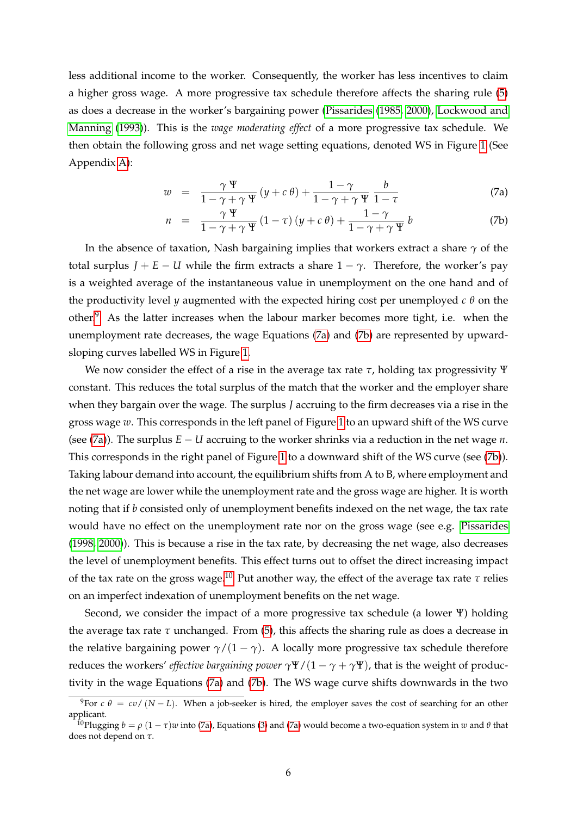less additional income to the worker. Consequently, the worker has less incentives to claim a higher gross wage. A more progressive tax schedule therefore affects the sharing rule [\(5\)](#page-7-1) as does a decrease in the worker's bargaining power [\(Pissarides](#page-37-3) [\(1985,](#page-37-3) [2000\)](#page-37-11), [Lockwood and](#page-36-1) [Manning](#page-36-1) [\(1993\)](#page-36-1)). This is the *wage moderating effect* of a more progressive tax schedule. We then obtain the following gross and net wage setting equations, denoted WS in Figure [1](#page-7-0) (See Appendix [A\)](#page-31-0):

<span id="page-8-1"></span>
$$
w = \frac{\gamma \Psi}{1 - \gamma + \gamma \Psi} (y + c \theta) + \frac{1 - \gamma}{1 - \gamma + \gamma \Psi} \frac{b}{1 - \tau}
$$
 (7a)

$$
n = \frac{\gamma \Psi}{1 - \gamma + \gamma \Psi} (1 - \tau) (y + c \theta) + \frac{1 - \gamma}{1 - \gamma + \gamma \Psi} b \tag{7b}
$$

In the absence of taxation, Nash bargaining implies that workers extract a share  $\gamma$  of the total surplus  $J + E - U$  while the firm extracts a share  $1 - \gamma$ . Therefore, the worker's pay is a weighted average of the instantaneous value in unemployment on the one hand and of the productivity level *y* augmented with the expected hiring cost per unemployed *c θ* on the other.[9](#page-8-0) As the latter increases when the labour marker becomes more tight, i.e. when the unemployment rate decreases, the wage Equations [\(7a\)](#page-8-1) and [\(7b\)](#page-8-1) are represented by upwardsloping curves labelled WS in Figure [1.](#page-7-0)

We now consider the effect of a rise in the average tax rate *τ*, holding tax progressivity Ψ constant. This reduces the total surplus of the match that the worker and the employer share when they bargain over the wage. The surplus *J* accruing to the firm decreases via a rise in the gross wage *w*. This corresponds in the left panel of Figure [1](#page-7-0) to an upward shift of the WS curve (see [\(7a\)](#page-8-1)). The surplus *E* − *U* accruing to the worker shrinks via a reduction in the net wage *n*. This corresponds in the right panel of Figure [1](#page-7-0) to a downward shift of the WS curve (see [\(7b\)](#page-8-1)). Taking labour demand into account, the equilibrium shifts from A to B, where employment and the net wage are lower while the unemployment rate and the gross wage are higher. It is worth noting that if *b* consisted only of unemployment benefits indexed on the net wage, the tax rate would have no effect on the unemployment rate nor on the gross wage (see e.g. [Pissarides](#page-37-4) [\(1998,](#page-37-4) [2000\)](#page-37-11)). This is because a rise in the tax rate, by decreasing the net wage, also decreases the level of unemployment benefits. This effect turns out to offset the direct increasing impact of the tax rate on the gross wage.<sup>[10](#page-8-2)</sup> Put another way, the effect of the average tax rate  $\tau$  relies on an imperfect indexation of unemployment benefits on the net wage.

Second, we consider the impact of a more progressive tax schedule (a lower Ψ) holding the average tax rate  $τ$  unchanged. From  $(5)$ , this affects the sharing rule as does a decrease in the relative bargaining power  $\gamma/(1 - \gamma)$ . A locally more progressive tax schedule therefore reduces the workers' *effective bargaining power*  $\gamma \Psi/(1 - \gamma + \gamma \Psi)$ , that is the weight of productivity in the wage Equations [\(7a\)](#page-8-1) and [\(7b\)](#page-8-1). The WS wage curve shifts downwards in the two

<span id="page-8-0"></span><sup>&</sup>lt;sup>9</sup>For  $c \theta = cv/(N - L)$ . When a job-seeker is hired, the employer saves the cost of searching for an other applicant.

<span id="page-8-2"></span><sup>&</sup>lt;sup>10</sup>Plugging  $b = \rho (1 - \tau)w$  into [\(7a\)](#page-8-1), Equations [\(3\)](#page-6-1) and (7a) would become a two-equation system in *w* and  $\theta$  that does not depend on *τ*.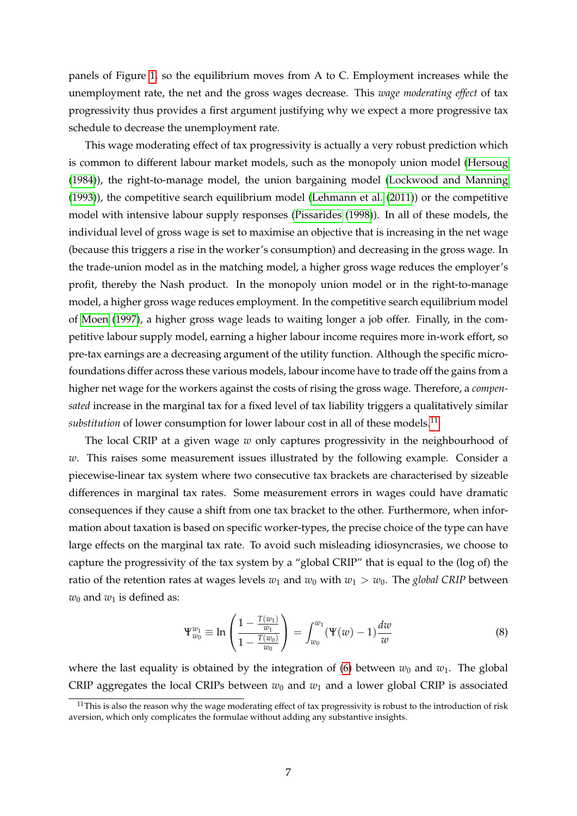panels of Figure [1,](#page-7-0) so the equilibrium moves from A to C. Employment increases while the unemployment rate, the net and the gross wages decrease. This *wage moderating effect* of tax progressivity thus provides a first argument justifying why we expect a more progressive tax schedule to decrease the unemployment rate.

This wage moderating effect of tax progressivity is actually a very robust prediction which is common to different labour market models, such as the monopoly union model [\(Hersoug](#page-36-0) [\(1984\)](#page-36-0)), the right-to-manage model, the union bargaining model [\(Lockwood and Manning](#page-36-1) [\(1993\)](#page-36-1)), the competitive search equilibrium model [\(Lehmann et al.](#page-36-4) [\(2011\)](#page-36-4)) or the competitive model with intensive labour supply responses [\(Pissarides](#page-37-4) [\(1998\)](#page-37-4)). In all of these models, the individual level of gross wage is set to maximise an objective that is increasing in the net wage (because this triggers a rise in the worker's consumption) and decreasing in the gross wage. In the trade-union model as in the matching model, a higher gross wage reduces the employer's profit, thereby the Nash product. In the monopoly union model or in the right-to-manage model, a higher gross wage reduces employment. In the competitive search equilibrium model of [Moen](#page-37-12) [\(1997\)](#page-37-12), a higher gross wage leads to waiting longer a job offer. Finally, in the competitive labour supply model, earning a higher labour income requires more in-work effort, so pre-tax earnings are a decreasing argument of the utility function. Although the specific microfoundations differ across these various models, labour income have to trade off the gains from a higher net wage for the workers against the costs of rising the gross wage. Therefore, a *compensated* increase in the marginal tax for a fixed level of tax liability triggers a qualitatively similar *substitution* of lower consumption for lower labour cost in all of these models.<sup>[11](#page-9-0)</sup>

The local CRIP at a given wage *w* only captures progressivity in the neighbourhood of *w*. This raises some measurement issues illustrated by the following example. Consider a piecewise-linear tax system where two consecutive tax brackets are characterised by sizeable differences in marginal tax rates. Some measurement errors in wages could have dramatic consequences if they cause a shift from one tax bracket to the other. Furthermore, when information about taxation is based on specific worker-types, the precise choice of the type can have large effects on the marginal tax rate. To avoid such misleading idiosyncrasies, we choose to capture the progressivity of the tax system by a "global CRIP" that is equal to the (log of) the ratio of the retention rates at wages levels  $w_1$  and  $w_0$  with  $w_1 > w_0$ . The *global CRIP* between  $w_0$  and  $w_1$  is defined as:

<span id="page-9-1"></span>
$$
\Psi_{w_0}^{w_1} \equiv \ln \left( \frac{1 - \frac{T(w_1)}{w_1}}{1 - \frac{T(w_0)}{w_0}} \right) = \int_{w_0}^{w_1} (\Psi(w) - 1) \frac{dw}{w} \tag{8}
$$

where the last equality is obtained by the integration of [\(6\)](#page-7-2) between  $w_0$  and  $w_1$ . The global CRIP aggregates the local CRIPs between  $w_0$  and  $w_1$  and a lower global CRIP is associated

<span id="page-9-0"></span> $11$ This is also the reason why the wage moderating effect of tax progressivity is robust to the introduction of risk aversion, which only complicates the formulae without adding any substantive insights.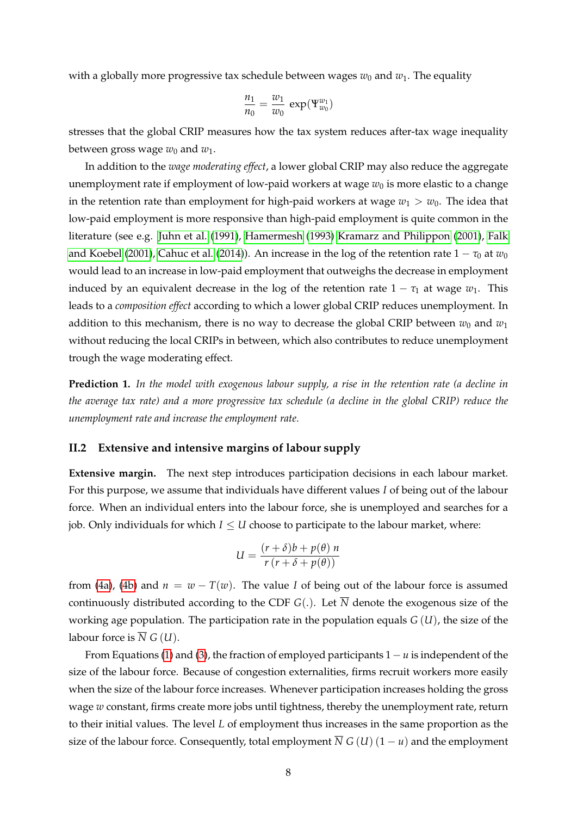with a globally more progressive tax schedule between wages  $w_0$  and  $w_1$ . The equality

$$
\frac{n_1}{n_0} = \frac{w_1}{w_0} \, \exp(\Psi_{w_0}^{w_1})
$$

stresses that the global CRIP measures how the tax system reduces after-tax wage inequality between gross wage  $w_0$  and  $w_1$ .

In addition to the *wage moderating effect*, a lower global CRIP may also reduce the aggregate unemployment rate if employment of low-paid workers at wage  $w_0$  is more elastic to a change in the retention rate than employment for high-paid workers at wage  $w_1 > w_0$ . The idea that low-paid employment is more responsive than high-paid employment is quite common in the literature (see e.g. [Juhn et al.](#page-36-10) [\(1991\)](#page-36-10), [Hamermesh](#page-35-6) [\(1993\)](#page-35-6) [Kramarz and Philippon](#page-36-11) [\(2001\)](#page-36-11), [Falk](#page-35-7) [and Koebel](#page-35-7) [\(2001\)](#page-35-7), [Cahuc et al.](#page-35-8) [\(2014\)](#page-35-8)). An increase in the log of the retention rate  $1 - \tau_0$  at  $w_0$ would lead to an increase in low-paid employment that outweighs the decrease in employment induced by an equivalent decrease in the log of the retention rate  $1 - \tau_1$  at wage  $w_1$ . This leads to a *composition effect* according to which a lower global CRIP reduces unemployment. In addition to this mechanism, there is no way to decrease the global CRIP between  $w_0$  and  $w_1$ without reducing the local CRIPs in between, which also contributes to reduce unemployment trough the wage moderating effect.

<span id="page-10-0"></span>**Prediction 1.** *In the model with exogenous labour supply, a rise in the retention rate (a decline in the average tax rate) and a more progressive tax schedule (a decline in the global CRIP) reduce the unemployment rate and increase the employment rate.*

#### **II.2 Extensive and intensive margins of labour supply**

**Extensive margin.** The next step introduces participation decisions in each labour market. For this purpose, we assume that individuals have different values *I* of being out of the labour force. When an individual enters into the labour force, she is unemployed and searches for a job. Only individuals for which  $I \leq U$  choose to participate to the labour market, where:

$$
U = \frac{(r+\delta)b + p(\theta) n}{r (r+\delta + p(\theta))}
$$

from [\(4a\)](#page-7-3), [\(4b\)](#page-7-3) and  $n = w - T(w)$ . The value *I* of being out of the labour force is assumed continuously distributed according to the CDF  $G(.)$ . Let  $\overline{N}$  denote the exogenous size of the working age population. The participation rate in the population equals *G* (*U*), the size of the labour force is  $\overline{N}$  *G* (*U*).

From Equations [\(1\)](#page-6-0) and [\(3\)](#page-6-1), the fraction of employed participants 1− *u* is independent of the size of the labour force. Because of congestion externalities, firms recruit workers more easily when the size of the labour force increases. Whenever participation increases holding the gross wage *w* constant, firms create more jobs until tightness, thereby the unemployment rate, return to their initial values. The level *L* of employment thus increases in the same proportion as the size of the labour force. Consequently, total employment  $\overline{N} G(U)$  (1 – *u*) and the employment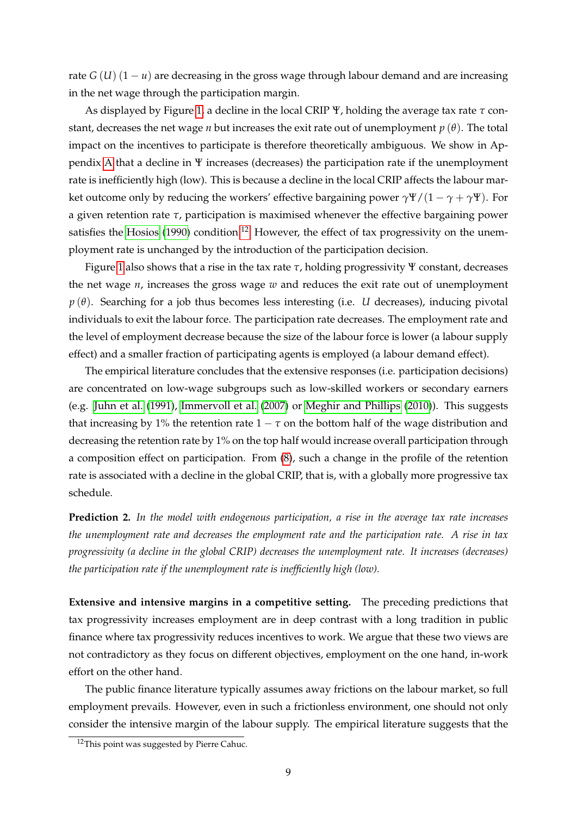rate *G* (*U*)  $(1 - u)$  are decreasing in the gross wage through labour demand and are increasing in the net wage through the participation margin.

As displayed by Figure [1,](#page-7-0) a decline in the local CRIP Ψ, holding the average tax rate *τ* constant, decreases the net wage *n* but increases the exit rate out of unemployment *p* (*θ*). The total impact on the incentives to participate is therefore theoretically ambiguous. We show in Appendix [A](#page-31-0) that a decline in Ψ increases (decreases) the participation rate if the unemployment rate is inefficiently high (low). This is because a decline in the local CRIP affects the labour market outcome only by reducing the workers' effective bargaining power  $\gamma \Psi/(1 - \gamma + \gamma \Psi)$ . For a given retention rate *τ*, participation is maximised whenever the effective bargaining power satisfies the [Hosios](#page-36-12) [\(1990\)](#page-36-12) condition.<sup>[12](#page-11-0)</sup> However, the effect of tax progressivity on the unemployment rate is unchanged by the introduction of the participation decision.

Figure [1](#page-7-0) also shows that a rise in the tax rate *τ*, holding progressivity Ψ constant, decreases the net wage *n*, increases the gross wage *w* and reduces the exit rate out of unemployment  $p(\theta)$ . Searching for a job thus becomes less interesting (i.e. *U* decreases), inducing pivotal individuals to exit the labour force. The participation rate decreases. The employment rate and the level of employment decrease because the size of the labour force is lower (a labour supply effect) and a smaller fraction of participating agents is employed (a labour demand effect).

The empirical literature concludes that the extensive responses (i.e. participation decisions) are concentrated on low-wage subgroups such as low-skilled workers or secondary earners (e.g. [Juhn et al.](#page-36-10) [\(1991\)](#page-36-10), [Immervoll et al.](#page-36-13) [\(2007\)](#page-36-13) or [Meghir and Phillips](#page-36-14) [\(2010\)](#page-36-14)). This suggests that increasing by 1% the retention rate  $1 - \tau$  on the bottom half of the wage distribution and decreasing the retention rate by 1% on the top half would increase overall participation through a composition effect on participation. From [\(8\)](#page-9-1), such a change in the profile of the retention rate is associated with a decline in the global CRIP, that is, with a globally more progressive tax schedule.

**Prediction 2.** *In the model with endogenous participation, a rise in the average tax rate increases the unemployment rate and decreases the employment rate and the participation rate. A rise in tax progressivity (a decline in the global CRIP) decreases the unemployment rate. It increases (decreases) the participation rate if the unemployment rate is inefficiently high (low).*

**Extensive and intensive margins in a competitive setting.** The preceding predictions that tax progressivity increases employment are in deep contrast with a long tradition in public finance where tax progressivity reduces incentives to work. We argue that these two views are not contradictory as they focus on different objectives, employment on the one hand, in-work effort on the other hand.

The public finance literature typically assumes away frictions on the labour market, so full employment prevails. However, even in such a frictionless environment, one should not only consider the intensive margin of the labour supply. The empirical literature suggests that the

<span id="page-11-0"></span><sup>&</sup>lt;sup>12</sup>This point was suggested by Pierre Cahuc.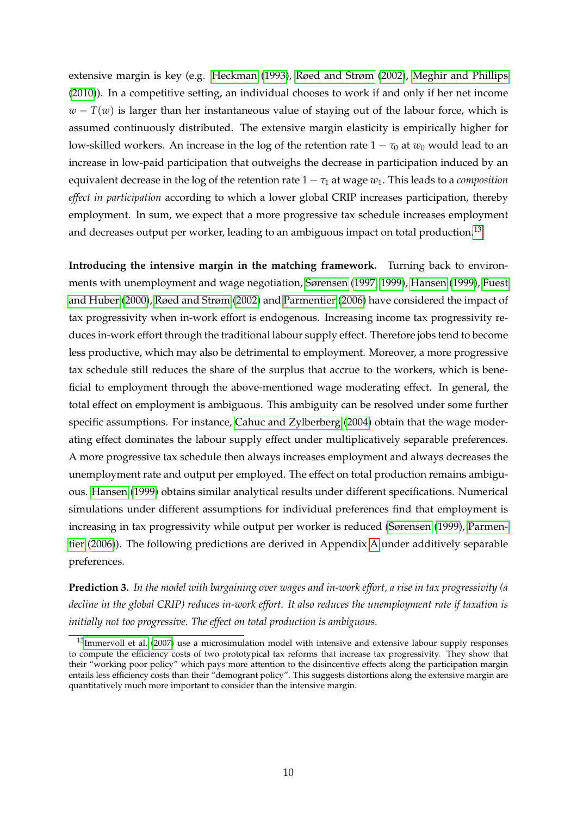extensive margin is key (e.g. [Heckman](#page-36-15) [\(1993\)](#page-36-15), [Røed and Strøm](#page-37-9) [\(2002\)](#page-37-9), [Meghir and Phillips](#page-36-14) [\(2010\)](#page-36-14)). In a competitive setting, an individual chooses to work if and only if her net income  $w - T(w)$  is larger than her instantaneous value of staying out of the labour force, which is assumed continuously distributed. The extensive margin elasticity is empirically higher for low-skilled workers. An increase in the log of the retention rate  $1 - \tau_0$  at  $w_0$  would lead to an increase in low-paid participation that outweighs the decrease in participation induced by an equivalent decrease in the log of the retention rate  $1 - \tau_1$  at wage  $w_1$ . This leads to a *composition effect in participation* according to which a lower global CRIP increases participation, thereby employment. In sum, we expect that a more progressive tax schedule increases employment and decreases output per worker, leading to an ambiguous impact on total production.<sup>[13](#page-12-0)</sup>

**Introducing the intensive margin in the matching framework.** Turning back to environments with unemployment and wage negotiation, [Sørensen](#page-38-0) [\(1997,](#page-38-0) [1999\)](#page-38-1), [Hansen](#page-35-9) [\(1999\)](#page-35-9), [Fuest](#page-35-10) [and Huber](#page-35-10) [\(2000\)](#page-35-10), [Røed and Strøm](#page-37-9) [\(2002\)](#page-37-9) and [Parmentier](#page-37-13) [\(2006\)](#page-37-13) have considered the impact of tax progressivity when in-work effort is endogenous. Increasing income tax progressivity reduces in-work effort through the traditional labour supply effect. Therefore jobs tend to become less productive, which may also be detrimental to employment. Moreover, a more progressive tax schedule still reduces the share of the surplus that accrue to the workers, which is beneficial to employment through the above-mentioned wage moderating effect. In general, the total effect on employment is ambiguous. This ambiguity can be resolved under some further specific assumptions. For instance, [Cahuc and Zylberberg](#page-35-11) [\(2004\)](#page-35-11) obtain that the wage moderating effect dominates the labour supply effect under multiplicatively separable preferences. A more progressive tax schedule then always increases employment and always decreases the unemployment rate and output per employed. The effect on total production remains ambiguous. [Hansen](#page-35-9) [\(1999\)](#page-35-9) obtains similar analytical results under different specifications. Numerical simulations under different assumptions for individual preferences find that employment is increasing in tax progressivity while output per worker is reduced [\(Sørensen](#page-38-1) [\(1999\)](#page-38-1), [Parmen](#page-37-13)[tier](#page-37-13) [\(2006\)](#page-37-13)). The following predictions are derived in Appendix [A](#page-31-0) under additively separable preferences.

<span id="page-12-1"></span>**Prediction 3.** *In the model with bargaining over wages and in-work effort, a rise in tax progressivity (a decline in the global CRIP) reduces in-work effort. It also reduces the unemployment rate if taxation is initially not too progressive. The effect on total production is ambiguous.*

<span id="page-12-0"></span> $13$ [Immervoll et al.](#page-36-13) [\(2007\)](#page-36-13) use a microsimulation model with intensive and extensive labour supply responses to compute the efficiency costs of two prototypical tax reforms that increase tax progressivity. They show that their "working poor policy" which pays more attention to the disincentive effects along the participation margin entails less efficiency costs than their "demogrant policy". This suggests distortions along the extensive margin are quantitatively much more important to consider than the intensive margin.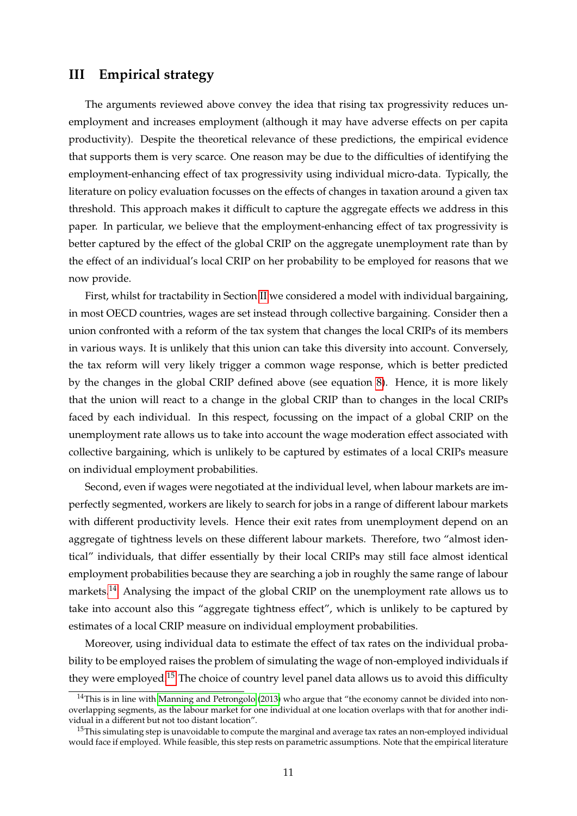### <span id="page-13-0"></span>**III Empirical strategy**

The arguments reviewed above convey the idea that rising tax progressivity reduces unemployment and increases employment (although it may have adverse effects on per capita productivity). Despite the theoretical relevance of these predictions, the empirical evidence that supports them is very scarce. One reason may be due to the difficulties of identifying the employment-enhancing effect of tax progressivity using individual micro-data. Typically, the literature on policy evaluation focusses on the effects of changes in taxation around a given tax threshold. This approach makes it difficult to capture the aggregate effects we address in this paper. In particular, we believe that the employment-enhancing effect of tax progressivity is better captured by the effect of the global CRIP on the aggregate unemployment rate than by the effect of an individual's local CRIP on her probability to be employed for reasons that we now provide.

First, whilst for tractability in Section [II](#page-5-3) we considered a model with individual bargaining, in most OECD countries, wages are set instead through collective bargaining. Consider then a union confronted with a reform of the tax system that changes the local CRIPs of its members in various ways. It is unlikely that this union can take this diversity into account. Conversely, the tax reform will very likely trigger a common wage response, which is better predicted by the changes in the global CRIP defined above (see equation [8\)](#page-9-1). Hence, it is more likely that the union will react to a change in the global CRIP than to changes in the local CRIPs faced by each individual. In this respect, focussing on the impact of a global CRIP on the unemployment rate allows us to take into account the wage moderation effect associated with collective bargaining, which is unlikely to be captured by estimates of a local CRIPs measure on individual employment probabilities.

Second, even if wages were negotiated at the individual level, when labour markets are imperfectly segmented, workers are likely to search for jobs in a range of different labour markets with different productivity levels. Hence their exit rates from unemployment depend on an aggregate of tightness levels on these different labour markets. Therefore, two "almost identical" individuals, that differ essentially by their local CRIPs may still face almost identical employment probabilities because they are searching a job in roughly the same range of labour markets.<sup>[14](#page-13-1)</sup> Analysing the impact of the global CRIP on the unemployment rate allows us to take into account also this "aggregate tightness effect", which is unlikely to be captured by estimates of a local CRIP measure on individual employment probabilities.

Moreover, using individual data to estimate the effect of tax rates on the individual probability to be employed raises the problem of simulating the wage of non-employed individuals if they were employed.[15](#page-13-2) The choice of country level panel data allows us to avoid this difficulty

<span id="page-13-1"></span><sup>&</sup>lt;sup>14</sup>This is in line with [Manning and Petrongolo](#page-36-16) [\(2013\)](#page-36-16) who argue that "the economy cannot be divided into nonoverlapping segments, as the labour market for one individual at one location overlaps with that for another individual in a different but not too distant location".

<span id="page-13-2"></span> $15$ This simulating step is unavoidable to compute the marginal and average tax rates an non-employed individual would face if employed. While feasible, this step rests on parametric assumptions. Note that the empirical literature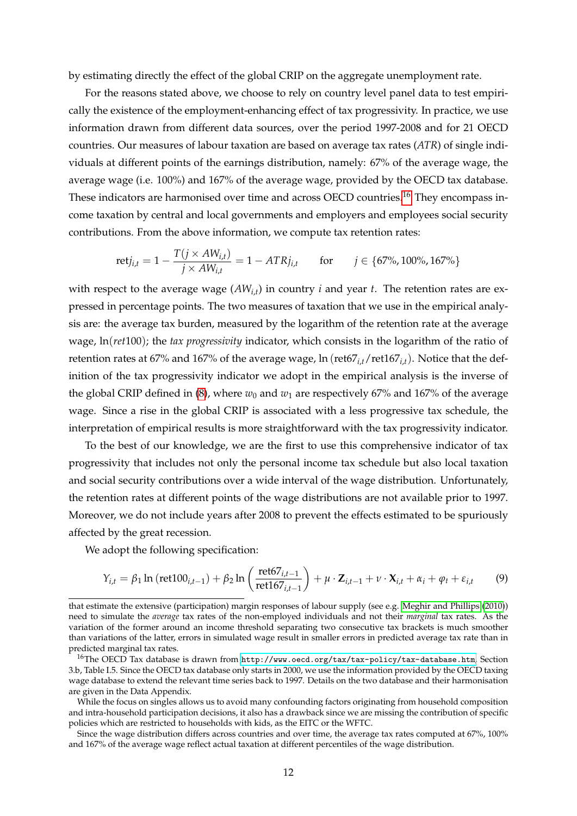by estimating directly the effect of the global CRIP on the aggregate unemployment rate.

For the reasons stated above, we choose to rely on country level panel data to test empirically the existence of the employment-enhancing effect of tax progressivity. In practice, we use information drawn from different data sources, over the period 1997-2008 and for 21 OECD countries. Our measures of labour taxation are based on average tax rates (*ATR*) of single individuals at different points of the earnings distribution, namely: 67% of the average wage, the average wage (i.e. 100%) and 167% of the average wage, provided by the OECD tax database. These indicators are harmonised over time and across OECD countries.<sup>[16](#page-14-0)</sup> They encompass income taxation by central and local governments and employers and employees social security contributions. From the above information, we compute tax retention rates:

$$
\text{ret} j_{i,t} = 1 - \frac{T(j \times AW_{i,t})}{j \times AW_{i,t}} = 1 - ATRj_{i,t} \quad \text{for} \quad j \in \{67\%, 100\%, 167\%\}
$$

with respect to the average wage (*AWi*,*<sup>t</sup>* ) in country *i* and year *t*. The retention rates are expressed in percentage points. The two measures of taxation that we use in the empirical analysis are: the average tax burden, measured by the logarithm of the retention rate at the average wage, ln(*ret*100); the *tax progressivity* indicator, which consists in the logarithm of the ratio of retention rates at 67% and 167% of the average wage, ln (ret67*i*,*t*/ret167*i*,*t*). Notice that the definition of the tax progressivity indicator we adopt in the empirical analysis is the inverse of the global CRIP defined in [\(8\)](#page-9-1), where  $w_0$  and  $w_1$  are respectively 67% and 167% of the average wage. Since a rise in the global CRIP is associated with a less progressive tax schedule, the interpretation of empirical results is more straightforward with the tax progressivity indicator.

To the best of our knowledge, we are the first to use this comprehensive indicator of tax progressivity that includes not only the personal income tax schedule but also local taxation and social security contributions over a wide interval of the wage distribution. Unfortunately, the retention rates at different points of the wage distributions are not available prior to 1997. Moreover, we do not include years after 2008 to prevent the effects estimated to be spuriously affected by the great recession.

We adopt the following specification:

<span id="page-14-1"></span>
$$
Y_{i,t} = \beta_1 \ln (\text{ret100}_{i,t-1}) + \beta_2 \ln \left( \frac{\text{ret67}_{i,t-1}}{\text{ret167}_{i,t-1}} \right) + \mu \cdot Z_{i,t-1} + \nu \cdot X_{i,t} + \alpha_i + \varphi_t + \varepsilon_{i,t} \tag{9}
$$

While the focus on singles allows us to avoid many confounding factors originating from household composition and intra-household participation decisions, it also has a drawback since we are missing the contribution of specific policies which are restricted to households with kids, as the EITC or the WFTC.

Since the wage distribution differs across countries and over time, the average tax rates computed at 67%, 100% and 167% of the average wage reflect actual taxation at different percentiles of the wage distribution.

that estimate the extensive (participation) margin responses of labour supply (see e.g. [Meghir and Phillips](#page-36-14) [\(2010\)](#page-36-14)) need to simulate the *average* tax rates of the non-employed individuals and not their *marginal* tax rates. As the variation of the former around an income threshold separating two consecutive tax brackets is much smoother than variations of the latter, errors in simulated wage result in smaller errors in predicted average tax rate than in predicted marginal tax rates.

<span id="page-14-0"></span> $^{16}$ The OECD Tax database is drawn from <http://www.oecd.org/tax/tax-policy/tax-database.htm>, Section 3.b, Table I.5. Since the OECD tax database only starts in 2000, we use the information provided by the OECD taxing wage database to extend the relevant time series back to 1997. Details on the two database and their harmonisation are given in the Data Appendix.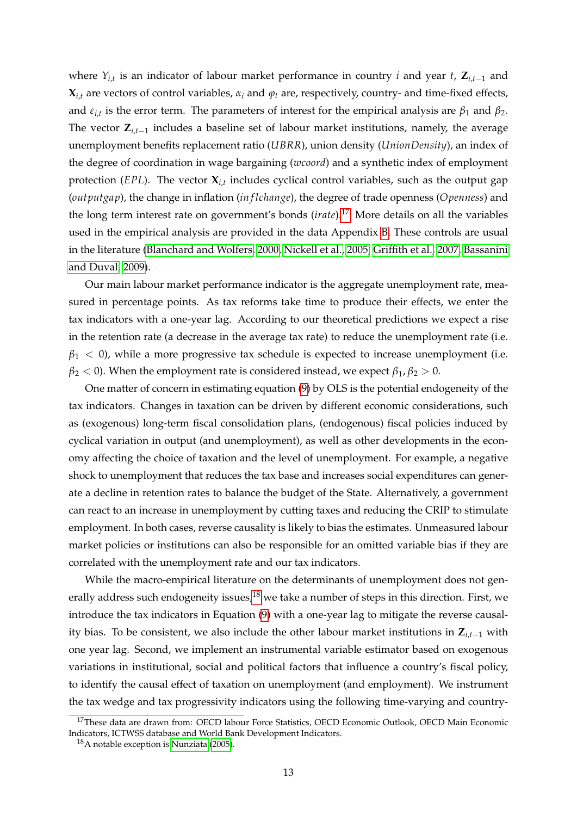where *Yi*,*<sup>t</sup>* is an indicator of labour market performance in country *i* and year *t*, **Z***i*,*t*−<sup>1</sup> and  $\mathbf{X}_{i,t}$  are vectors of control variables,  $\alpha_i$  and  $\varphi_t$  are, respectively, country- and time-fixed effects, and  $\varepsilon_{i,t}$  is the error term. The parameters of interest for the empirical analysis are  $\beta_1$  and  $\beta_2$ . The vector **Z***i*,*t*−<sup>1</sup> includes a baseline set of labour market institutions, namely, the average unemployment benefits replacement ratio (*UBRR*), union density (*UnionDensity*), an index of the degree of coordination in wage bargaining (*wcoord*) and a synthetic index of employment protection (*EPL*). The vector **X***i*,*<sup>t</sup>* includes cyclical control variables, such as the output gap (*outputgap*), the change in inflation (*in f lchange*), the degree of trade openness (*Openness*) and the long term interest rate on government's bonds (*irate*).[17](#page-15-0) More details on all the variables used in the empirical analysis are provided in the data Appendix [B.](#page-32-0) These controls are usual in the literature [\(Blanchard and Wolfers, 2000,](#page-34-1) [Nickell et al., 2005,](#page-37-1) [Griffith et al., 2007,](#page-35-1) [Bassanini](#page-34-4) [and Duval, 2009\)](#page-34-4).

Our main labour market performance indicator is the aggregate unemployment rate, measured in percentage points. As tax reforms take time to produce their effects, we enter the tax indicators with a one-year lag. According to our theoretical predictions we expect a rise in the retention rate (a decrease in the average tax rate) to reduce the unemployment rate (i.e.  $\beta_1$  < 0), while a more progressive tax schedule is expected to increase unemployment (i.e.  $\beta_2$  < 0). When the employment rate is considered instead, we expect  $\beta_1$ ,  $\beta_2$  > 0.

One matter of concern in estimating equation [\(9\)](#page-14-1) by OLS is the potential endogeneity of the tax indicators. Changes in taxation can be driven by different economic considerations, such as (exogenous) long-term fiscal consolidation plans, (endogenous) fiscal policies induced by cyclical variation in output (and unemployment), as well as other developments in the economy affecting the choice of taxation and the level of unemployment. For example, a negative shock to unemployment that reduces the tax base and increases social expenditures can generate a decline in retention rates to balance the budget of the State. Alternatively, a government can react to an increase in unemployment by cutting taxes and reducing the CRIP to stimulate employment. In both cases, reverse causality is likely to bias the estimates. Unmeasured labour market policies or institutions can also be responsible for an omitted variable bias if they are correlated with the unemployment rate and our tax indicators.

While the macro-empirical literature on the determinants of unemployment does not gen-erally address such endogeneity issues,<sup>[18](#page-15-1)</sup> we take a number of steps in this direction. First, we introduce the tax indicators in Equation [\(9\)](#page-14-1) with a one-year lag to mitigate the reverse causality bias. To be consistent, we also include the other labour market institutions in **Z***i*,*t*−<sup>1</sup> with one year lag. Second, we implement an instrumental variable estimator based on exogenous variations in institutional, social and political factors that influence a country's fiscal policy, to identify the causal effect of taxation on unemployment (and employment). We instrument the tax wedge and tax progressivity indicators using the following time-varying and country-

<span id="page-15-0"></span><sup>&</sup>lt;sup>17</sup>These data are drawn from: OECD labour Force Statistics, OECD Economic Outlook, OECD Main Economic Indicators, ICTWSS database and World Bank Development Indicators.

<span id="page-15-1"></span><sup>18</sup>A notable exception is [Nunziata](#page-37-14) [\(2005\)](#page-37-14).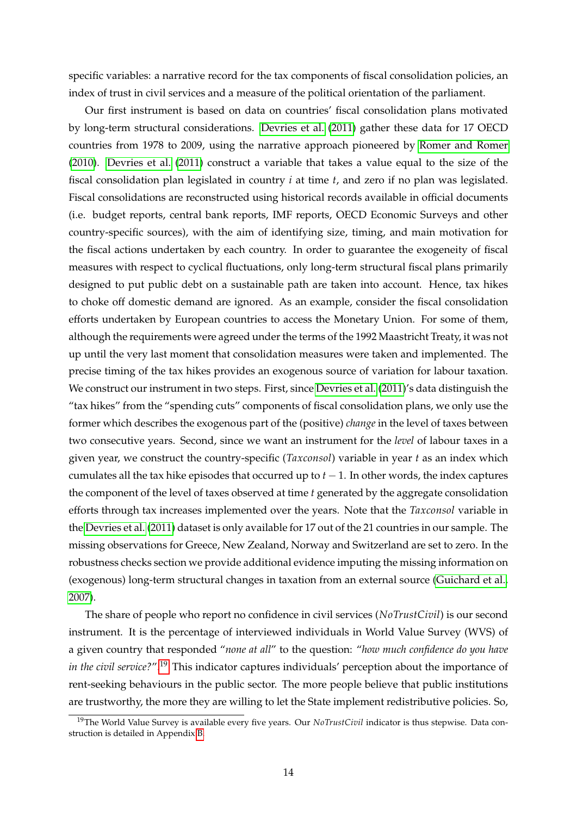specific variables: a narrative record for the tax components of fiscal consolidation policies, an index of trust in civil services and a measure of the political orientation of the parliament.

Our first instrument is based on data on countries' fiscal consolidation plans motivated by long-term structural considerations. [Devries et al.](#page-35-12) [\(2011\)](#page-35-12) gather these data for 17 OECD countries from 1978 to 2009, using the narrative approach pioneered by [Romer and Romer](#page-37-15) [\(2010\)](#page-37-15). [Devries et al.](#page-35-12) [\(2011\)](#page-35-12) construct a variable that takes a value equal to the size of the fiscal consolidation plan legislated in country *i* at time *t*, and zero if no plan was legislated. Fiscal consolidations are reconstructed using historical records available in official documents (i.e. budget reports, central bank reports, IMF reports, OECD Economic Surveys and other country-specific sources), with the aim of identifying size, timing, and main motivation for the fiscal actions undertaken by each country. In order to guarantee the exogeneity of fiscal measures with respect to cyclical fluctuations, only long-term structural fiscal plans primarily designed to put public debt on a sustainable path are taken into account. Hence, tax hikes to choke off domestic demand are ignored. As an example, consider the fiscal consolidation efforts undertaken by European countries to access the Monetary Union. For some of them, although the requirements were agreed under the terms of the 1992 Maastricht Treaty, it was not up until the very last moment that consolidation measures were taken and implemented. The precise timing of the tax hikes provides an exogenous source of variation for labour taxation. We construct our instrument in two steps. First, since [Devries et al.](#page-35-12) [\(2011\)](#page-35-12)'s data distinguish the "tax hikes" from the "spending cuts" components of fiscal consolidation plans, we only use the former which describes the exogenous part of the (positive) *change* in the level of taxes between two consecutive years. Second, since we want an instrument for the *level* of labour taxes in a given year, we construct the country-specific (*Taxconsol*) variable in year *t* as an index which cumulates all the tax hike episodes that occurred up to  $t - 1$ . In other words, the index captures the component of the level of taxes observed at time *t* generated by the aggregate consolidation efforts through tax increases implemented over the years. Note that the *Taxconsol* variable in the [Devries et al.](#page-35-12) [\(2011\)](#page-35-12) dataset is only available for 17 out of the 21 countries in our sample. The missing observations for Greece, New Zealand, Norway and Switzerland are set to zero. In the robustness checks section we provide additional evidence imputing the missing information on (exogenous) long-term structural changes in taxation from an external source [\(Guichard et al.,](#page-35-13) [2007\)](#page-35-13).

The share of people who report no confidence in civil services (*NoTrustCivil*) is our second instrument. It is the percentage of interviewed individuals in World Value Survey (WVS) of a given country that responded "*none at all*" to the question: "*how much confidence do you have in the civil service?*".[19](#page-16-0) This indicator captures individuals' perception about the importance of rent-seeking behaviours in the public sector. The more people believe that public institutions are trustworthy, the more they are willing to let the State implement redistributive policies. So,

<span id="page-16-0"></span><sup>19</sup>The World Value Survey is available every five years. Our *NoTrustCivil* indicator is thus stepwise. Data construction is detailed in Appendix [B.](#page-32-0)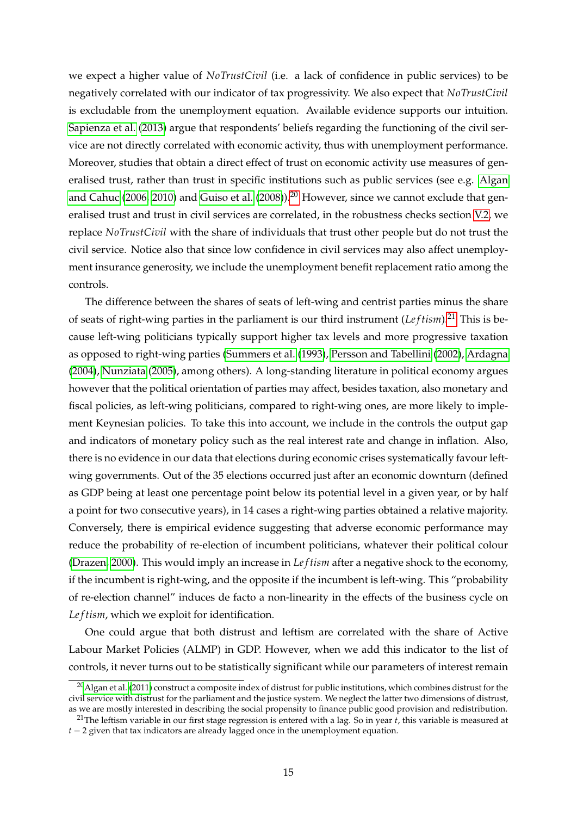we expect a higher value of *NoTrustCivil* (i.e. a lack of confidence in public services) to be negatively correlated with our indicator of tax progressivity. We also expect that *NoTrustCivil* is excludable from the unemployment equation. Available evidence supports our intuition. [Sapienza et al.](#page-37-16) [\(2013\)](#page-37-16) argue that respondents' beliefs regarding the functioning of the civil service are not directly correlated with economic activity, thus with unemployment performance. Moreover, studies that obtain a direct effect of trust on economic activity use measures of generalised trust, rather than trust in specific institutions such as public services (see e.g. [Algan](#page-34-5) [and Cahuc](#page-34-5) [\(2006,](#page-34-5) [2010\)](#page-34-6) and [Guiso et al.](#page-35-14) [\(2008\)](#page-35-14)).<sup>[20](#page-17-0)</sup> However, since we cannot exclude that generalised trust and trust in civil services are correlated, in the robustness checks section [V.2,](#page-28-0) we replace *NoTrustCivil* with the share of individuals that trust other people but do not trust the civil service. Notice also that since low confidence in civil services may also affect unemployment insurance generosity, we include the unemployment benefit replacement ratio among the controls.

The difference between the shares of seats of left-wing and centrist parties minus the share of seats of right-wing parties in the parliament is our third instrument (*Le f tism*).[21](#page-17-1) This is because left-wing politicians typically support higher tax levels and more progressive taxation as opposed to right-wing parties [\(Summers et al.](#page-38-2) [\(1993\)](#page-38-2), [Persson and Tabellini](#page-37-17) [\(2002\)](#page-37-17), [Ardagna](#page-34-7) [\(2004\)](#page-34-7), [Nunziata](#page-37-14) [\(2005\)](#page-37-14), among others). A long-standing literature in political economy argues however that the political orientation of parties may affect, besides taxation, also monetary and fiscal policies, as left-wing politicians, compared to right-wing ones, are more likely to implement Keynesian policies. To take this into account, we include in the controls the output gap and indicators of monetary policy such as the real interest rate and change in inflation. Also, there is no evidence in our data that elections during economic crises systematically favour leftwing governments. Out of the 35 elections occurred just after an economic downturn (defined as GDP being at least one percentage point below its potential level in a given year, or by half a point for two consecutive years), in 14 cases a right-wing parties obtained a relative majority. Conversely, there is empirical evidence suggesting that adverse economic performance may reduce the probability of re-election of incumbent politicians, whatever their political colour [\(Drazen, 2000\)](#page-35-15). This would imply an increase in *Le f tism* after a negative shock to the economy, if the incumbent is right-wing, and the opposite if the incumbent is left-wing. This "probability of re-election channel" induces de facto a non-linearity in the effects of the business cycle on *Le f tism*, which we exploit for identification.

One could argue that both distrust and leftism are correlated with the share of Active Labour Market Policies (ALMP) in GDP. However, when we add this indicator to the list of controls, it never turns out to be statistically significant while our parameters of interest remain

<span id="page-17-0"></span> $20$ [Algan et al.](#page-34-8) [\(2011\)](#page-34-8) construct a composite index of distrust for public institutions, which combines distrust for the civil service with distrust for the parliament and the justice system. We neglect the latter two dimensions of distrust, as we are mostly interested in describing the social propensity to finance public good provision and redistribution.

<span id="page-17-1"></span><sup>21</sup>The leftism variable in our first stage regression is entered with a lag. So in year *t*, this variable is measured at *t* − 2 given that tax indicators are already lagged once in the unemployment equation.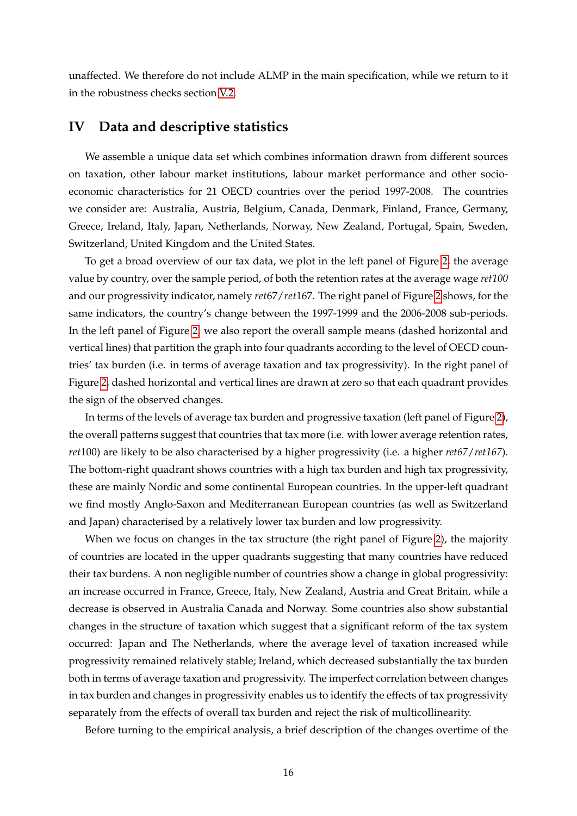unaffected. We therefore do not include ALMP in the main specification, while we return to it in the robustness checks section [V.2.](#page-28-0)

#### <span id="page-18-0"></span>**IV Data and descriptive statistics**

We assemble a unique data set which combines information drawn from different sources on taxation, other labour market institutions, labour market performance and other socioeconomic characteristics for 21 OECD countries over the period 1997-2008. The countries we consider are: Australia, Austria, Belgium, Canada, Denmark, Finland, France, Germany, Greece, Ireland, Italy, Japan, Netherlands, Norway, New Zealand, Portugal, Spain, Sweden, Switzerland, United Kingdom and the United States.

To get a broad overview of our tax data, we plot in the left panel of Figure [2,](#page-19-0) the average value by country, over the sample period, of both the retention rates at the average wage *ret100* and our progressivity indicator, namely *ret*67/*ret*167. The right panel of Figure [2](#page-19-0) shows, for the same indicators, the country's change between the 1997-1999 and the 2006-2008 sub-periods. In the left panel of Figure [2,](#page-19-0) we also report the overall sample means (dashed horizontal and vertical lines) that partition the graph into four quadrants according to the level of OECD countries' tax burden (i.e. in terms of average taxation and tax progressivity). In the right panel of Figure [2,](#page-19-0) dashed horizontal and vertical lines are drawn at zero so that each quadrant provides the sign of the observed changes.

In terms of the levels of average tax burden and progressive taxation (left panel of Figure [2\)](#page-19-0), the overall patterns suggest that countries that tax more (i.e. with lower average retention rates, *ret*100) are likely to be also characterised by a higher progressivity (i.e. a higher *ret67*/*ret167*). The bottom-right quadrant shows countries with a high tax burden and high tax progressivity, these are mainly Nordic and some continental European countries. In the upper-left quadrant we find mostly Anglo-Saxon and Mediterranean European countries (as well as Switzerland and Japan) characterised by a relatively lower tax burden and low progressivity.

When we focus on changes in the tax structure (the right panel of Figure [2\)](#page-19-0), the majority of countries are located in the upper quadrants suggesting that many countries have reduced their tax burdens. A non negligible number of countries show a change in global progressivity: an increase occurred in France, Greece, Italy, New Zealand, Austria and Great Britain, while a decrease is observed in Australia Canada and Norway. Some countries also show substantial changes in the structure of taxation which suggest that a significant reform of the tax system occurred: Japan and The Netherlands, where the average level of taxation increased while progressivity remained relatively stable; Ireland, which decreased substantially the tax burden both in terms of average taxation and progressivity. The imperfect correlation between changes in tax burden and changes in progressivity enables us to identify the effects of tax progressivity separately from the effects of overall tax burden and reject the risk of multicollinearity.

Before turning to the empirical analysis, a brief description of the changes overtime of the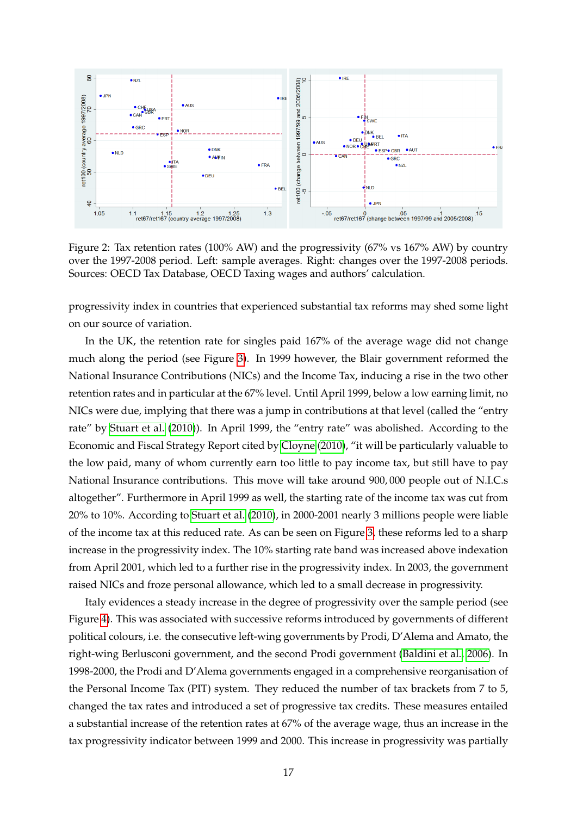

<span id="page-19-0"></span>Figure 2: Tax retention rates (100% AW) and the progressivity (67% vs 167% AW) by country over the 1997-2008 period. Left: sample averages. Right: changes over the 1997-2008 periods. Sources: OECD Tax Database, OECD Taxing wages and authors' calculation.

progressivity index in countries that experienced substantial tax reforms may shed some light on our source of variation.

In the UK, the retention rate for singles paid 167% of the average wage did not change much along the period (see Figure [3\)](#page-20-0). In 1999 however, the Blair government reformed the National Insurance Contributions (NICs) and the Income Tax, inducing a rise in the two other retention rates and in particular at the 67% level. Until April 1999, below a low earning limit, no NICs were due, implying that there was a jump in contributions at that level (called the "entry rate" by [Stuart et al.](#page-38-3) [\(2010\)](#page-38-3)). In April 1999, the "entry rate" was abolished. According to the Economic and Fiscal Strategy Report cited by [Cloyne](#page-35-16) [\(2010\)](#page-35-16), "it will be particularly valuable to the low paid, many of whom currently earn too little to pay income tax, but still have to pay National Insurance contributions. This move will take around 900, 000 people out of N.I.C.s altogether". Furthermore in April 1999 as well, the starting rate of the income tax was cut from 20% to 10%. According to [Stuart et al.](#page-38-3) [\(2010\)](#page-38-3), in 2000-2001 nearly 3 millions people were liable of the income tax at this reduced rate. As can be seen on Figure [3,](#page-20-0) these reforms led to a sharp increase in the progressivity index. The 10% starting rate band was increased above indexation from April 2001, which led to a further rise in the progressivity index. In 2003, the government raised NICs and froze personal allowance, which led to a small decrease in progressivity.

Italy evidences a steady increase in the degree of progressivity over the sample period (see Figure [4\)](#page-21-0). This was associated with successive reforms introduced by governments of different political colours, i.e. the consecutive left-wing governments by Prodi, D'Alema and Amato, the right-wing Berlusconi government, and the second Prodi government [\(Baldini et al., 2006\)](#page-34-9). In 1998-2000, the Prodi and D'Alema governments engaged in a comprehensive reorganisation of the Personal Income Tax (PIT) system. They reduced the number of tax brackets from 7 to 5, changed the tax rates and introduced a set of progressive tax credits. These measures entailed a substantial increase of the retention rates at 67% of the average wage, thus an increase in the tax progressivity indicator between 1999 and 2000. This increase in progressivity was partially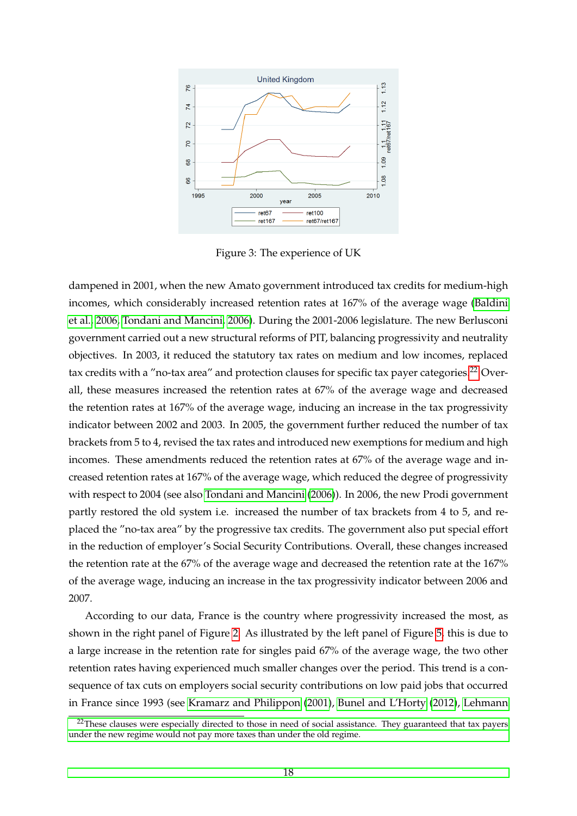

<span id="page-20-0"></span>Figure 3: The experience of UK

dampened in 2001, when the new Amato government introduced tax credits for medium-high incomes, which considerably increased retention rates at 167% of the average wage [\(Baldini](#page-34-9) [et al., 2006,](#page-34-9) [Tondani and Mancini, 2006\)](#page-38-4). During the 2001-2006 legislature. The new Berlusconi government carried out a new structural reforms of PIT, balancing progressivity and neutrality objectives. In 2003, it reduced the statutory tax rates on medium and low incomes, replaced tax credits with a "no-tax area" and protection clauses for specific tax payer categories.<sup>[22](#page-20-1)</sup> Overall, these measures increased the retention rates at 67% of the average wage and decreased the retention rates at 167% of the average wage, inducing an increase in the tax progressivity indicator between 2002 and 2003. In 2005, the government further reduced the number of tax brackets from 5 to 4, revised the tax rates and introduced new exemptions for medium and high incomes. These amendments reduced the retention rates at 67% of the average wage and increased retention rates at 167% of the average wage, which reduced the degree of progressivity with respect to 2004 (see also [Tondani and Mancini](#page-38-4) [\(2006\)](#page-38-4)). In 2006, the new Prodi government partly restored the old system i.e. increased the number of tax brackets from 4 to 5, and replaced the "no-tax area" by the progressive tax credits. The government also put special effort in the reduction of employer's Social Security Contributions. Overall, these changes increased the retention rate at the 67% of the average wage and decreased the retention rate at the 167% of the average wage, inducing an increase in the tax progressivity indicator between 2006 and 2007.

According to our data, France is the country where progressivity increased the most, as shown in the right panel of Figure [2.](#page-19-0) As illustrated by the left panel of Figure [5,](#page-21-1) this is due to a large increase in the retention rate for singles paid 67% of the average wage, the two other retention rates having experienced much smaller changes over the period. This trend is a consequence of tax cuts on employers social security contributions on low paid jobs that occurred in France since 1993 (see [Kramarz and Philippon](#page-36-11) [\(2001\)](#page-36-11), [Bunel and L'Horty](#page-35-17) [\(2012\)](#page-35-17), [Lehmann](#page-36-17)

<span id="page-20-1"></span> $^{22}$ [These clauses were especially directed to those in need of social assistance. They guaranteed that tax payers](#page-36-17) [under the new regime would not pay more taxes than under the old regime.](#page-36-17)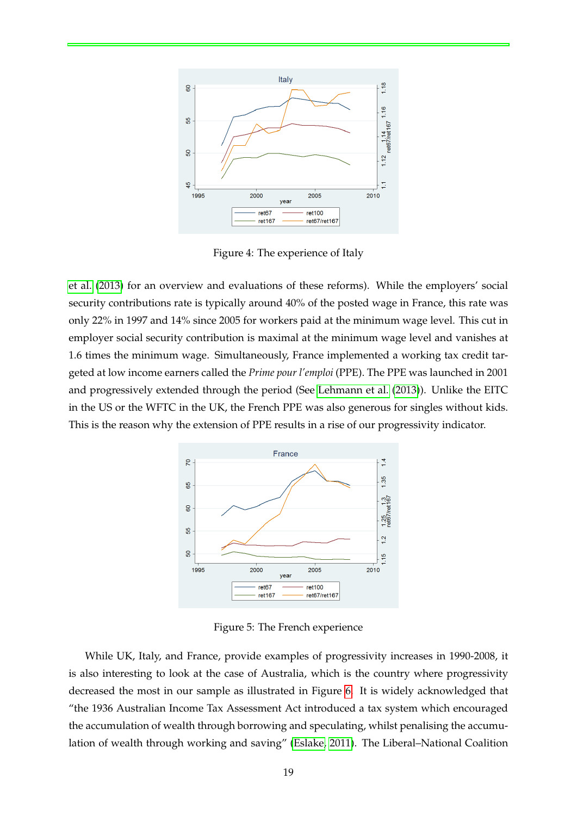

<span id="page-21-0"></span>Figure 4: The experience of Italy

[et al.](#page-36-17) [\(2013\)](#page-36-17) for an overview and evaluations of these reforms). While the employers' social security contributions rate is typically around 40% of the posted wage in France, this rate was only 22% in 1997 and 14% since 2005 for workers paid at the minimum wage level. This cut in employer social security contribution is maximal at the minimum wage level and vanishes at 1.6 times the minimum wage. Simultaneously, France implemented a working tax credit targeted at low income earners called the *Prime pour l'emploi* (PPE). The PPE was launched in 2001 and progressively extended through the period (See [Lehmann et al.](#page-36-17) [\(2013\)](#page-36-17)). Unlike the EITC in the US or the WFTC in the UK, the French PPE was also generous for singles without kids. This is the reason why the extension of PPE results in a rise of our progressivity indicator.



<span id="page-21-1"></span>Figure 5: The French experience

While UK, Italy, and France, provide examples of progressivity increases in 1990-2008, it is also interesting to look at the case of Australia, which is the country where progressivity decreased the most in our sample as illustrated in Figure [6.](#page-22-1) It is widely acknowledged that "the 1936 Australian Income Tax Assessment Act introduced a tax system which encouraged the accumulation of wealth through borrowing and speculating, whilst penalising the accumulation of wealth through working and saving" [\(Eslake, 2011\)](#page-35-18). The Liberal–National Coalition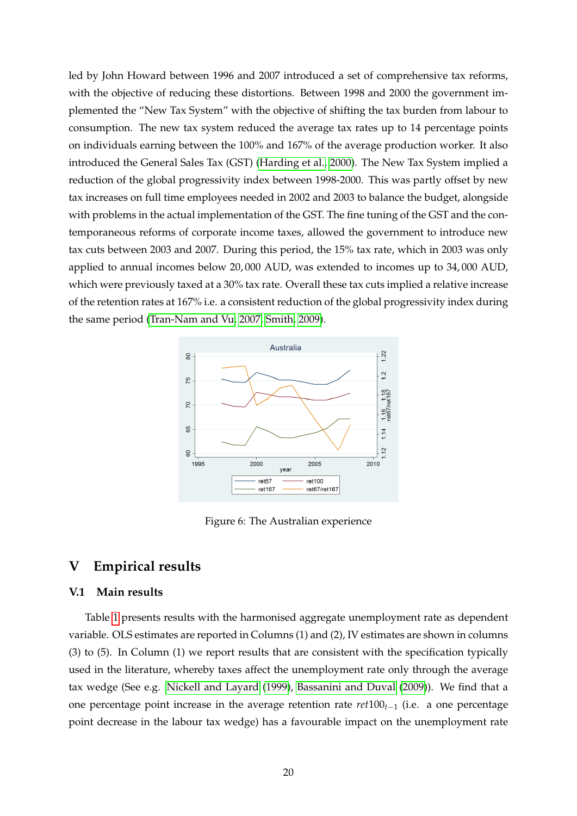led by John Howard between 1996 and 2007 introduced a set of comprehensive tax reforms, with the objective of reducing these distortions. Between 1998 and 2000 the government implemented the "New Tax System" with the objective of shifting the tax burden from labour to consumption. The new tax system reduced the average tax rates up to 14 percentage points on individuals earning between the 100% and 167% of the average production worker. It also introduced the General Sales Tax (GST) [\(Harding et al., 2000\)](#page-36-18). The New Tax System implied a reduction of the global progressivity index between 1998-2000. This was partly offset by new tax increases on full time employees needed in 2002 and 2003 to balance the budget, alongside with problems in the actual implementation of the GST. The fine tuning of the GST and the contemporaneous reforms of corporate income taxes, allowed the government to introduce new tax cuts between 2003 and 2007. During this period, the 15% tax rate, which in 2003 was only applied to annual incomes below 20, 000 AUD, was extended to incomes up to 34, 000 AUD, which were previously taxed at a 30% tax rate. Overall these tax cuts implied a relative increase of the retention rates at 167% i.e. a consistent reduction of the global progressivity index during the same period [\(Tran-Nam and Vu, 2007,](#page-38-5) [Smith, 2009\)](#page-38-6).



<span id="page-22-1"></span>Figure 6: The Australian experience

### <span id="page-22-0"></span>**V Empirical results**

#### **V.1 Main results**

Table [1](#page-23-0) presents results with the harmonised aggregate unemployment rate as dependent variable. OLS estimates are reported in Columns (1) and (2), IV estimates are shown in columns (3) to (5). In Column (1) we report results that are consistent with the specification typically used in the literature, whereby taxes affect the unemployment rate only through the average tax wedge (See e.g. [Nickell and Layard](#page-37-0) [\(1999\)](#page-37-0), [Bassanini and Duval](#page-34-4) [\(2009\)](#page-34-4)). We find that a one percentage point increase in the average retention rate *ret*100*t*−<sup>1</sup> (i.e. a one percentage point decrease in the labour tax wedge) has a favourable impact on the unemployment rate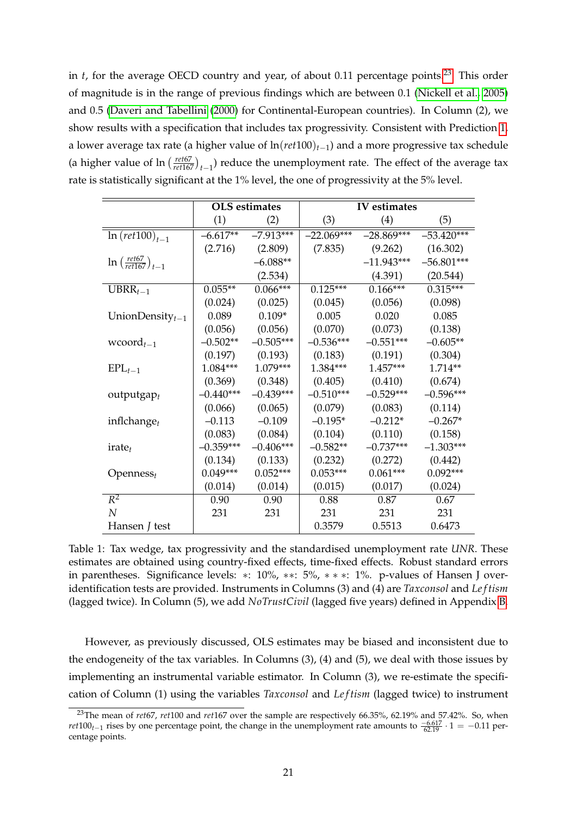in *t*, for the average OECD country and year, of about 0.11 percentage points.<sup>[23](#page-23-1)</sup> This order of magnitude is in the range of previous findings which are between 0.1 [\(Nickell et al., 2005\)](#page-37-1) and 0.5 [\(Daveri and Tabellini](#page-35-0) [\(2000\)](#page-35-0) for Continental-European countries). In Column (2), we show results with a specification that includes tax progressivity. Consistent with Prediction [1,](#page-10-0) a lower average tax rate (a higher value of ln(*ret*100)*t*−1) and a more progressive tax schedule (a higher value of  $\ln \left( \frac{ret67}{ret167} \right)_{t-1}$ ) reduce the unemployment rate. The effect of the average tax rate is statistically significant at the 1% level, the one of progressivity at the 5% level.

|                                              |             | <b>OLS</b> estimates |              | IV estimates |              |
|----------------------------------------------|-------------|----------------------|--------------|--------------|--------------|
|                                              | (1)         | (2)                  | (3)          | (4)          | (5)          |
| $ln(ret100)_{t=1}$                           | $-6.617**$  | $-7.913***$          | $-22.069***$ | $-28.869***$ | $-53.420***$ |
|                                              | (2.716)     | (2.809)              | (7.835)      | (9.262)      | (16.302)     |
| $\ln\left(\frac{ret67}{ret167}\right)_{t-1}$ |             | $-6.088**$           |              | $-11.943***$ | $-56.801***$ |
|                                              |             | (2.534)              |              | (4.391)      | (20.544)     |
| $UBRR_{t-1}$                                 | $0.055**$   | $0.066***$           | $0.125***$   | $0.166***$   | $0.315***$   |
|                                              | (0.024)     | (0.025)              | (0.045)      | (0.056)      | (0.098)      |
| UnionDensity $t-1$                           | 0.089       | $0.109*$             | 0.005        | 0.020        | 0.085        |
|                                              | (0.056)     | (0.056)              | (0.070)      | (0.073)      | (0.138)      |
| wcoord $_{t-1}$                              | $-0.502**$  | $-0.505***$          | $-0.536***$  | $-0.551***$  | $-0.605**$   |
|                                              | (0.197)     | (0.193)              | (0.183)      | (0.191)      | (0.304)      |
| $EPL_{t-1}$                                  | 1.084***    | $1.079***$           | 1.384***     | $1.457***$   | 1.714**      |
|                                              | (0.369)     | (0.348)              | (0.405)      | (0.410)      | (0.674)      |
| $outputgap_t$                                | $-0.440***$ | $-0.439***$          | $-0.510***$  | $-0.529***$  | $-0.596***$  |
|                                              | (0.066)     | (0.065)              | (0.079)      | (0.083)      | (0.114)      |
| inflchange $_t$                              | $-0.113$    | $-0.109$             | $-0.195*$    | $-0.212*$    | $-0.267*$    |
|                                              | (0.083)     | (0.084)              | (0.104)      | (0.110)      | (0.158)      |
| $\text{rate}_t$                              | $-0.359***$ | $-0.406***$          | $-0.582**$   | $-0.737***$  | $-1.303***$  |
|                                              | (0.134)     | (0.133)              | (0.232)      | (0.272)      | (0.442)      |
| $Openness_t$                                 | $0.049***$  | $0.052***$           | $0.053***$   | $0.061***$   | $0.092***$   |
|                                              | (0.014)     | (0.014)              | (0.015)      | (0.017)      | (0.024)      |
| $R^2$                                        | 0.90        | 0.90                 | 0.88         | 0.87         | 0.67         |
| $\boldsymbol{N}$                             | 231         | 231                  | 231          | 231          | 231          |
| Hansen <i>J</i> test                         |             |                      | 0.3579       | 0.5513       | 0.6473       |

<span id="page-23-0"></span>Table 1: Tax wedge, tax progressivity and the standardised unemployment rate *UNR*. These estimates are obtained using country-fixed effects, time-fixed effects. Robust standard errors in parentheses. Significance levels: ∗: 10%, ∗∗: 5%, ∗ ∗ ∗: 1%. p-values of Hansen J overidentification tests are provided. Instruments in Columns (3) and (4) are *Taxconsol* and *Le f tism* (lagged twice). In Column (5), we add *NoTrustCivil* (lagged five years) defined in Appendix [B.](#page-32-0)

However, as previously discussed, OLS estimates may be biased and inconsistent due to the endogeneity of the tax variables. In Columns (3), (4) and (5), we deal with those issues by implementing an instrumental variable estimator. In Column (3), we re-estimate the specification of Column (1) using the variables *Taxconsol* and *Le f tism* (lagged twice) to instrument

<span id="page-23-1"></span><sup>23</sup>The mean of *ret*67, *ret*100 and *ret*167 over the sample are respectively 66.35%, 62.19% and 57.42%. So, when *ret*100<sub>*t*−1</sub> rises by one percentage point, the change in the unemployment rate amounts to  $\frac{-6.617}{62.19} \cdot 1 = -0.11$  percentage points.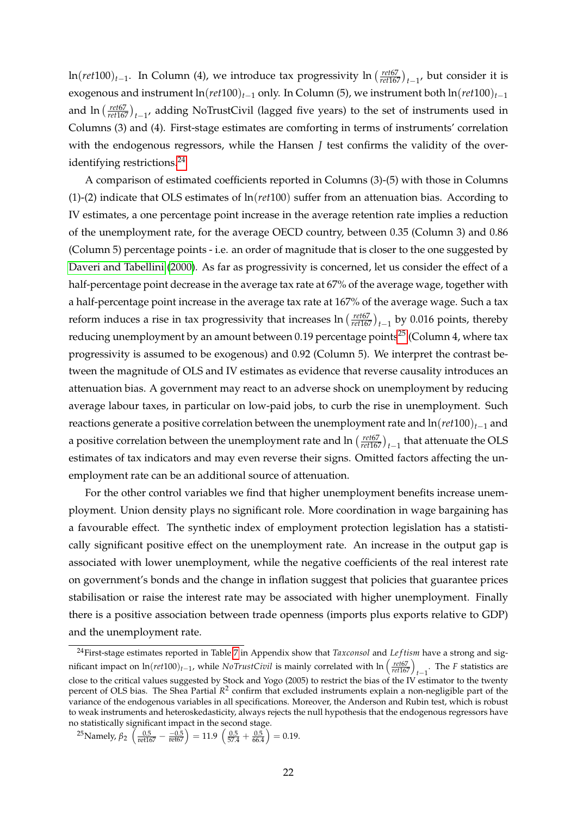ln(*ret*100)<sub>*t*−1</sub>. In Column (4), we introduce tax progressivity ln ( $\frac{ret67}{ret167}$ )<sub>*t*−1</sub>, but consider it is exogenous and instrument ln(*ret*100)*t*−<sup>1</sup> only. In Column (5), we instrument both ln(*ret*100)*t*−<sup>1</sup> and  $\ln \left( \frac{ret67}{ret167} \right)_{t-1}$ , adding NoTrustCivil (lagged five years) to the set of instruments used in Columns (3) and (4). First-stage estimates are comforting in terms of instruments' correlation with the endogenous regressors, while the Hansen *J* test confirms the validity of the overidentifying restrictions.[24](#page-24-0)

A comparison of estimated coefficients reported in Columns (3)-(5) with those in Columns (1)-(2) indicate that OLS estimates of ln(*ret*100) suffer from an attenuation bias. According to IV estimates, a one percentage point increase in the average retention rate implies a reduction of the unemployment rate, for the average OECD country, between 0.35 (Column 3) and 0.86 (Column 5) percentage points - i.e. an order of magnitude that is closer to the one suggested by [Daveri and Tabellini](#page-35-0) [\(2000\)](#page-35-0). As far as progressivity is concerned, let us consider the effect of a half-percentage point decrease in the average tax rate at 67% of the average wage, together with a half-percentage point increase in the average tax rate at 167% of the average wage. Such a tax reform induces a rise in tax progressivity that increases  $\ln \left( \frac{ret67}{ret167} \right)_{t-1}$  by 0.016 points, thereby reducing unemployment by an amount between 0.19 percentage points<sup>[25](#page-24-1)</sup> (Column 4, where tax progressivity is assumed to be exogenous) and 0.92 (Column 5). We interpret the contrast between the magnitude of OLS and IV estimates as evidence that reverse causality introduces an attenuation bias. A government may react to an adverse shock on unemployment by reducing average labour taxes, in particular on low-paid jobs, to curb the rise in unemployment. Such reactions generate a positive correlation between the unemployment rate and ln(*ret*100)*t*−<sup>1</sup> and a positive correlation between the unemployment rate and  $\ln\left(\frac{ret67}{ret167}\right)_{t-1}$  that attenuate the OLS estimates of tax indicators and may even reverse their signs. Omitted factors affecting the unemployment rate can be an additional source of attenuation.

For the other control variables we find that higher unemployment benefits increase unemployment. Union density plays no significant role. More coordination in wage bargaining has a favourable effect. The synthetic index of employment protection legislation has a statistically significant positive effect on the unemployment rate. An increase in the output gap is associated with lower unemployment, while the negative coefficients of the real interest rate on government's bonds and the change in inflation suggest that policies that guarantee prices stabilisation or raise the interest rate may be associated with higher unemployment. Finally there is a positive association between trade openness (imports plus exports relative to GDP) and the unemployment rate.

<span id="page-24-0"></span><sup>&</sup>lt;sup>24</sup>First-stage estimates reported in Table [7](#page-41-0) in Appendix show that *Taxconsol* and *Leftism* have a strong and significant impact on  $ln(ret100)_{t-1}$ , while *NoTrustCivil* is mainly correlated with  $ln\left(\frac{re t67}{re t167}\right)_{t-1}$ . The *F* statistics are close to the critical values suggested by Stock and Yogo (2005) to restrict the bias of the IV estimator to the twenty percent of OLS bias. The Shea Partial *R* 2 confirm that excluded instruments explain a non-negligible part of the variance of the endogenous variables in all specifications. Moreover, the Anderson and Rubin test, which is robust to weak instruments and heteroskedasticity, always rejects the null hypothesis that the endogenous regressors have no statistically significant impact in the second stage.

<span id="page-24-1"></span><sup>&</sup>lt;sup>25</sup>Namely,  $β_2 \left( \frac{0.5}{\mathrm{ret167}} - \frac{-0.5}{\mathrm{ret67}} \right) = 11.9 \left( \frac{0.5}{57.4} + \frac{0.5}{66.4} \right) = 0.19.$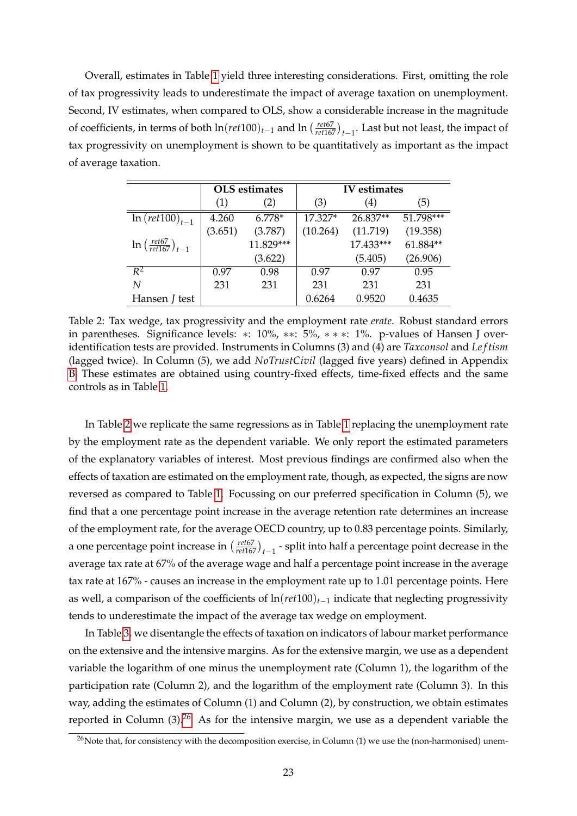Overall, estimates in Table [1](#page-23-0) yield three interesting considerations. First, omitting the role of tax progressivity leads to underestimate the impact of average taxation on unemployment. Second, IV estimates, when compared to OLS, show a considerable increase in the magnitude of coefficients, in terms of both  $\ln(ret100)_{t-1}$  and  $\ln\left(\frac{ret67}{ret167}\right)_{t-1}$ . Last but not least, the impact of tax progressivity on unemployment is shown to be quantitatively as important as the impact of average taxation.

|                                                 |         | <b>OLS</b> estimates |          | IV estimates |           |
|-------------------------------------------------|---------|----------------------|----------|--------------|-----------|
|                                                 | (1)     | (2)                  | (3)      | (4)          | (5)       |
| $ln (ret100)_{t=1}$                             | 4.260   | $6.778*$             | 17.327*  | 26.837**     | 51.798*** |
|                                                 | (3.651) | (3.787)              | (10.264) | (11.719)     | (19.358)  |
| $\ln \left( \frac{ret67}{ret167} \right)_{t=1}$ |         | 11.829***            |          | 17.433***    | 61.884**  |
|                                                 |         | (3.622)              |          | (5.405)      | (26.906)  |
| $R^2$                                           | 0.97    | 0.98                 | 0.97     | 0.97         | 0.95      |
| N                                               | 231     | 231                  | 231      | 231          | 231       |
| Hansen <i>J</i> test                            |         |                      | 0.6264   | 0.9520       | 0.4635    |

<span id="page-25-0"></span>Table 2: Tax wedge, tax progressivity and the employment rate *erate*. Robust standard errors in parentheses. Significance levels: ∗: 10%, ∗∗: 5%, ∗ ∗ ∗: 1%. p-values of Hansen J overidentification tests are provided. Instruments in Columns (3) and (4) are *Taxconsol* and *Le f tism* (lagged twice). In Column (5), we add *NoTrustCivil* (lagged five years) defined in Appendix [B.](#page-32-0) These estimates are obtained using country-fixed effects, time-fixed effects and the same controls as in Table [1.](#page-23-0)

In Table [2](#page-25-0) we replicate the same regressions as in Table [1](#page-23-0) replacing the unemployment rate by the employment rate as the dependent variable. We only report the estimated parameters of the explanatory variables of interest. Most previous findings are confirmed also when the effects of taxation are estimated on the employment rate, though, as expected, the signs are now reversed as compared to Table [1.](#page-23-0) Focussing on our preferred specification in Column (5), we find that a one percentage point increase in the average retention rate determines an increase of the employment rate, for the average OECD country, up to 0.83 percentage points. Similarly, a one percentage point increase in  $\left(\frac{ret67}{ret167}\right)_{t-1}$  - split into half a percentage point decrease in the average tax rate at 67% of the average wage and half a percentage point increase in the average tax rate at 167% - causes an increase in the employment rate up to 1.01 percentage points. Here as well, a comparison of the coefficients of ln(*ret*100)*t*−<sup>1</sup> indicate that neglecting progressivity tends to underestimate the impact of the average tax wedge on employment.

In Table [3,](#page-26-0) we disentangle the effects of taxation on indicators of labour market performance on the extensive and the intensive margins. As for the extensive margin, we use as a dependent variable the logarithm of one minus the unemployment rate (Column 1), the logarithm of the participation rate (Column 2), and the logarithm of the employment rate (Column 3). In this way, adding the estimates of Column (1) and Column (2), by construction, we obtain estimates reported in Column  $(3)$ .<sup>[26](#page-25-1)</sup> As for the intensive margin, we use as a dependent variable the

<span id="page-25-1"></span> $^{26}$ Note that, for consistency with the decomposition exercise, in Column (1) we use the (non-harmonised) unem-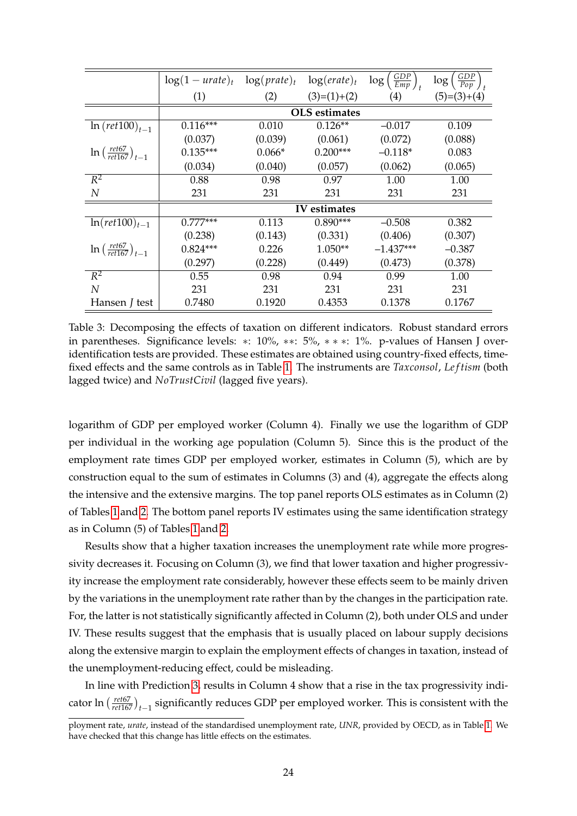|                                              | $\log(1 - \text{urate})_t$ | $log(prate)_t$ | $\log(erate)_t$      | $\frac{GDP}{Emp}$ <sub>t</sub><br>log | GDP<br>log<br>$\overline{Pop}$ |
|----------------------------------------------|----------------------------|----------------|----------------------|---------------------------------------|--------------------------------|
|                                              | (1)                        | (2)            | $(3)=(1)+(2)$        | $\left( 4\right)$                     | $(5)=(3)+(4)$                  |
|                                              |                            |                | <b>OLS</b> estimates |                                       |                                |
| $ln(ret100)_{t-1}$                           | $0.116***$                 | 0.010          | $0.126**$            | $-0.017$                              | 0.109                          |
|                                              | (0.037)                    | (0.039)        | (0.061)              | (0.072)                               | (0.088)                        |
| $\ln\left(\frac{ret67}{ret167}\right)_{t-1}$ | $0.135***$                 | $0.066*$       | $0.200***$           | $-0.118*$                             | 0.083                          |
|                                              | (0.034)                    | (0.040)        | (0.057)              | (0.062)                               | (0.065)                        |
| $\overline{R^2}$                             | 0.88                       | 0.98           | 0.97                 | 1.00                                  | 1.00                           |
| N                                            | 231                        | 231            | 231                  | 231                                   | 231                            |
|                                              |                            |                | IV estimates         |                                       |                                |
| $ln(ret100)_{t-1}$                           | $0.777***$                 | 0.113          | $0.890***$           | $-0.508$                              | 0.382                          |
|                                              | (0.238)                    | (0.143)        | (0.331)              | (0.406)                               | (0.307)                        |
| $\ln\left(\frac{ret67}{ret167}\right)_{t-1}$ | $0.824***$                 | 0.226          | $1.050**$            | $-1.437***$                           | $-0.387$                       |
|                                              | (0.297)                    | (0.228)        | (0.449)              | (0.473)                               | (0.378)                        |
| $R^2$                                        | 0.55                       | 0.98           | 0.94                 | 0.99                                  | 1.00                           |
| N                                            | 231                        | 231            | 231                  | 231                                   | 231                            |
| Hansen <i>J</i> test                         | 0.7480                     | 0.1920         | 0.4353               | 0.1378                                | 0.1767                         |

<span id="page-26-0"></span>Table 3: Decomposing the effects of taxation on different indicators. Robust standard errors in parentheses. Significance levels: ∗: 10%, ∗∗: 5%, ∗ ∗ ∗: 1%. p-values of Hansen J overidentification tests are provided. These estimates are obtained using country-fixed effects, timefixed effects and the same controls as in Table [1.](#page-23-0) The instruments are *Taxconsol*, *Le f tism* (both lagged twice) and *NoTrustCivil* (lagged five years).

logarithm of GDP per employed worker (Column 4). Finally we use the logarithm of GDP per individual in the working age population (Column 5). Since this is the product of the employment rate times GDP per employed worker, estimates in Column (5), which are by construction equal to the sum of estimates in Columns (3) and (4), aggregate the effects along the intensive and the extensive margins. The top panel reports OLS estimates as in Column (2) of Tables [1](#page-23-0) and [2.](#page-25-0) The bottom panel reports IV estimates using the same identification strategy as in Column (5) of Tables [1](#page-23-0) and [2.](#page-25-0)

Results show that a higher taxation increases the unemployment rate while more progressivity decreases it. Focusing on Column (3), we find that lower taxation and higher progressivity increase the employment rate considerably, however these effects seem to be mainly driven by the variations in the unemployment rate rather than by the changes in the participation rate. For, the latter is not statistically significantly affected in Column (2), both under OLS and under IV. These results suggest that the emphasis that is usually placed on labour supply decisions along the extensive margin to explain the employment effects of changes in taxation, instead of the unemployment-reducing effect, could be misleading.

In line with Prediction [3,](#page-12-1) results in Column 4 show that a rise in the tax progressivity indicator  $\ln \left( \frac{ret67}{ret167} \right)_{t-1}$  significantly reduces GDP per employed worker. This is consistent with the

ployment rate, *urate*, instead of the standardised unemployment rate, *UNR*, provided by OECD, as in Table [1.](#page-23-0) We have checked that this change has little effects on the estimates.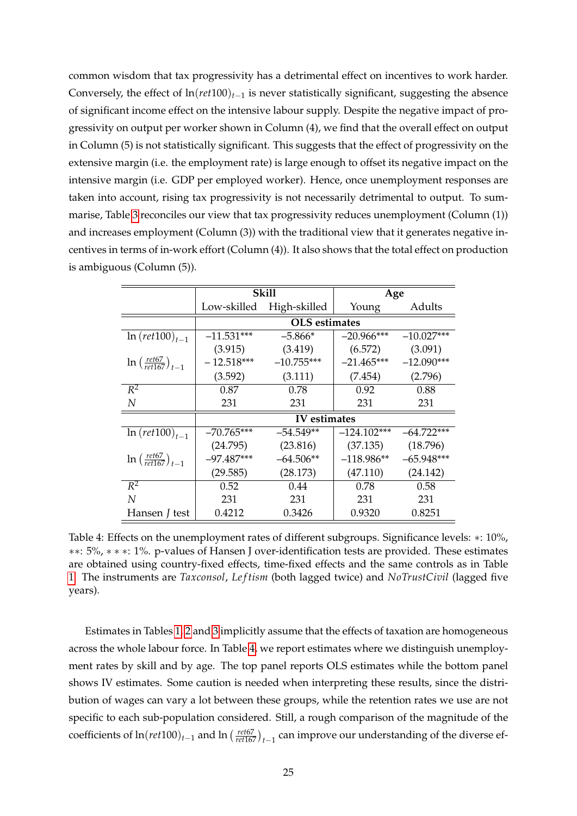common wisdom that tax progressivity has a detrimental effect on incentives to work harder. Conversely, the effect of  $ln(ret100)_{t-1}$  is never statistically significant, suggesting the absence of significant income effect on the intensive labour supply. Despite the negative impact of progressivity on output per worker shown in Column (4), we find that the overall effect on output in Column (5) is not statistically significant. This suggests that the effect of progressivity on the extensive margin (i.e. the employment rate) is large enough to offset its negative impact on the intensive margin (i.e. GDP per employed worker). Hence, once unemployment responses are taken into account, rising tax progressivity is not necessarily detrimental to output. To summarise, Table [3](#page-26-0) reconciles our view that tax progressivity reduces unemployment (Column (1)) and increases employment (Column (3)) with the traditional view that it generates negative incentives in terms of in-work effort (Column (4)). It also shows that the total effect on production is ambiguous (Column (5)).

|                                                 |              | Skill                | Age           |              |
|-------------------------------------------------|--------------|----------------------|---------------|--------------|
|                                                 | Low-skilled  | High-skilled         | Young         | Adults       |
|                                                 |              | <b>OLS</b> estimates |               |              |
| $ln(ret100)_{t=1}$                              | $-11.531***$ | $-5.866*$            | $-20.966***$  | $-10.027***$ |
|                                                 | (3.915)      | (3.419)              | (6.572)       | (3.091)      |
| $\ln \left( \frac{ret67}{ret167} \right)_{t=1}$ | $-12.518***$ | $-10.755***$         | $-21.465***$  | $-12.090***$ |
|                                                 | (3.592)      | (3.111)              | (7.454)       | (2.796)      |
| $R^2$                                           | 0.87         | 0.78                 | 0.92          | 0.88         |
| N                                               | 231          | 231                  | 231           | 231          |
|                                                 |              | IV estimates         |               |              |
| $ln(ret100)_{t=1}$                              | $-70.765***$ | $-54.549**$          | $-124.102***$ | $-64.722***$ |
|                                                 | (24.795)     | (23.816)             | (37.135)      | (18.796)     |
| $\ln\left(\frac{ret67}{ret167}\right)_{t-1}$    | $-97.487***$ | $-64.506**$          | $-118.986**$  | $-65.948***$ |
|                                                 | (29.585)     | (28.173)             | (47.110)      | (24.142)     |
| $R^2$                                           | 0.52         | 0.44                 | 0.78          | 0.58         |
| N                                               | 231          | 231                  | 231           | 231          |
| Hansen <i>J</i> test                            | 0.4212       | 0.3426               | 0.9320        | 0.8251       |

<span id="page-27-0"></span>Table 4: Effects on the unemployment rates of different subgroups. Significance levels: ∗: 10%, ∗∗: 5%, ∗ ∗ ∗: 1%. p-values of Hansen J over-identification tests are provided. These estimates are obtained using country-fixed effects, time-fixed effects and the same controls as in Table [1.](#page-23-0) The instruments are *Taxconsol*, *Le f tism* (both lagged twice) and *NoTrustCivil* (lagged five years).

Estimates in Tables [1,](#page-23-0) [2](#page-25-0) and [3](#page-26-0) implicitly assume that the effects of taxation are homogeneous across the whole labour force. In Table [4,](#page-27-0) we report estimates where we distinguish unemployment rates by skill and by age. The top panel reports OLS estimates while the bottom panel shows IV estimates. Some caution is needed when interpreting these results, since the distribution of wages can vary a lot between these groups, while the retention rates we use are not specific to each sub-population considered. Still, a rough comparison of the magnitude of the coefficients of  $ln(ret100)_{t-1}$  and  $ln\left(\frac{ret67}{ret167}\right)_{t-1}$  can improve our understanding of the diverse ef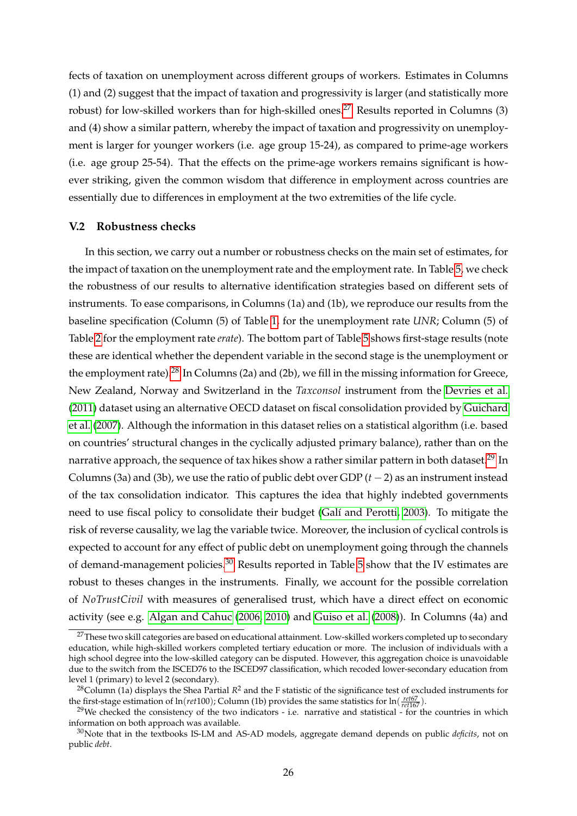fects of taxation on unemployment across different groups of workers. Estimates in Columns (1) and (2) suggest that the impact of taxation and progressivity is larger (and statistically more robust) for low-skilled workers than for high-skilled ones.<sup>[27](#page-28-1)</sup> Results reported in Columns  $(3)$ and (4) show a similar pattern, whereby the impact of taxation and progressivity on unemployment is larger for younger workers (i.e. age group 15-24), as compared to prime-age workers (i.e. age group 25-54). That the effects on the prime-age workers remains significant is however striking, given the common wisdom that difference in employment across countries are essentially due to differences in employment at the two extremities of the life cycle.

#### <span id="page-28-0"></span>**V.2 Robustness checks**

In this section, we carry out a number or robustness checks on the main set of estimates, for the impact of taxation on the unemployment rate and the employment rate. In Table [5,](#page-39-0) we check the robustness of our results to alternative identification strategies based on different sets of instruments. To ease comparisons, in Columns (1a) and (1b), we reproduce our results from the baseline specification (Column (5) of Table [1,](#page-23-0) for the unemployment rate *UNR*; Column (5) of Table [2](#page-25-0) for the employment rate *erate*). The bottom part of Table [5](#page-39-0) shows first-stage results (note these are identical whether the dependent variable in the second stage is the unemployment or the employment rate).<sup>[28](#page-28-2)</sup> In Columns (2a) and (2b), we fill in the missing information for Greece, New Zealand, Norway and Switzerland in the *Taxconsol* instrument from the [Devries et al.](#page-35-12) [\(2011\)](#page-35-12) dataset using an alternative OECD dataset on fiscal consolidation provided by [Guichard](#page-35-13) [et al.](#page-35-13) [\(2007\)](#page-35-13). Although the information in this dataset relies on a statistical algorithm (i.e. based on countries' structural changes in the cyclically adjusted primary balance), rather than on the narrative approach, the sequence of tax hikes show a rather similar pattern in both dataset.<sup>[29](#page-28-3)</sup> In Columns (3a) and (3b), we use the ratio of public debt over GDP  $(t - 2)$  as an instrument instead of the tax consolidation indicator. This captures the idea that highly indebted governments need to use fiscal policy to consolidate their budget (Galí and Perotti, 2003). To mitigate the risk of reverse causality, we lag the variable twice. Moreover, the inclusion of cyclical controls is expected to account for any effect of public debt on unemployment going through the channels of demand-management policies.<sup>[30](#page-28-4)</sup> Results reported in Table [5](#page-39-0) show that the IV estimates are robust to theses changes in the instruments. Finally, we account for the possible correlation of *NoTrustCivil* with measures of generalised trust, which have a direct effect on economic activity (see e.g. [Algan and Cahuc](#page-34-5) [\(2006,](#page-34-5) [2010\)](#page-34-6) and [Guiso et al.](#page-35-14) [\(2008\)](#page-35-14)). In Columns (4a) and

<span id="page-28-1"></span> $27$ These two skill categories are based on educational attainment. Low-skilled workers completed up to secondary education, while high-skilled workers completed tertiary education or more. The inclusion of individuals with a high school degree into the low-skilled category can be disputed. However, this aggregation choice is unavoidable due to the switch from the ISCED76 to the ISCED97 classification, which recoded lower-secondary education from level 1 (primary) to level 2 (secondary).

<span id="page-28-2"></span><sup>&</sup>lt;sup>28</sup>Column (1a) displays the Shea Partial  $R^2$  and the F statistic of the significance test of excluded instruments for the first-stage estimation of  $\ln(ret100)$ ; Column (1b) provides the same statistics for  $\ln\left(\frac{re t 67}{re t 167}\right)$ .

<span id="page-28-3"></span><sup>&</sup>lt;sup>29</sup>We checked the consistency of the two indicators - i.e. narrative and statistical - for the countries in which information on both approach was available.

<span id="page-28-4"></span><sup>30</sup>Note that in the textbooks IS-LM and AS-AD models, aggregate demand depends on public *deficits*, not on public *debt*.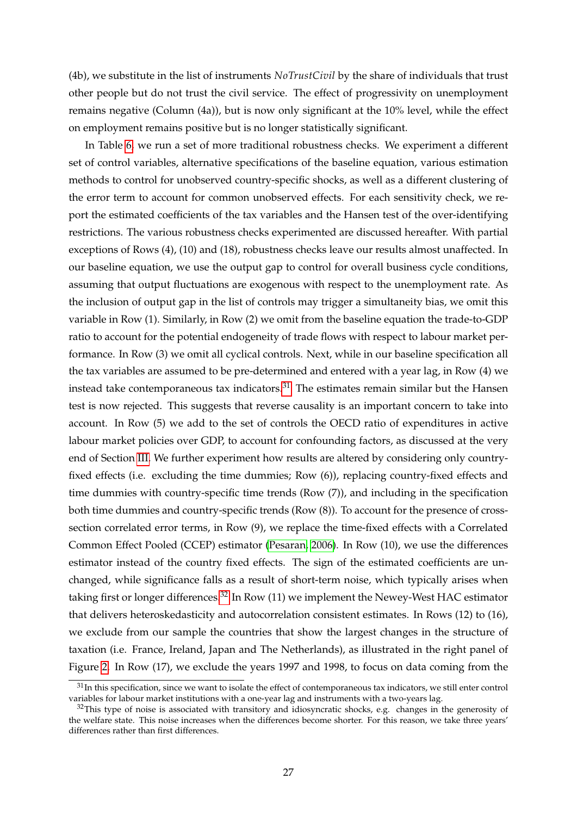(4b), we substitute in the list of instruments *NoTrustCivil* by the share of individuals that trust other people but do not trust the civil service. The effect of progressivity on unemployment remains negative (Column (4a)), but is now only significant at the 10% level, while the effect on employment remains positive but is no longer statistically significant.

In Table [6,](#page-40-0) we run a set of more traditional robustness checks. We experiment a different set of control variables, alternative specifications of the baseline equation, various estimation methods to control for unobserved country-specific shocks, as well as a different clustering of the error term to account for common unobserved effects. For each sensitivity check, we report the estimated coefficients of the tax variables and the Hansen test of the over-identifying restrictions. The various robustness checks experimented are discussed hereafter. With partial exceptions of Rows (4), (10) and (18), robustness checks leave our results almost unaffected. In our baseline equation, we use the output gap to control for overall business cycle conditions, assuming that output fluctuations are exogenous with respect to the unemployment rate. As the inclusion of output gap in the list of controls may trigger a simultaneity bias, we omit this variable in Row (1). Similarly, in Row (2) we omit from the baseline equation the trade-to-GDP ratio to account for the potential endogeneity of trade flows with respect to labour market performance. In Row (3) we omit all cyclical controls. Next, while in our baseline specification all the tax variables are assumed to be pre-determined and entered with a year lag, in Row (4) we instead take contemporaneous tax indicators. $31$  The estimates remain similar but the Hansen test is now rejected. This suggests that reverse causality is an important concern to take into account. In Row (5) we add to the set of controls the OECD ratio of expenditures in active labour market policies over GDP, to account for confounding factors, as discussed at the very end of Section [III.](#page-13-0) We further experiment how results are altered by considering only countryfixed effects (i.e. excluding the time dummies; Row (6)), replacing country-fixed effects and time dummies with country-specific time trends (Row (7)), and including in the specification both time dummies and country-specific trends (Row (8)). To account for the presence of crosssection correlated error terms, in Row (9), we replace the time-fixed effects with a Correlated Common Effect Pooled (CCEP) estimator [\(Pesaran, 2006\)](#page-37-18). In Row (10), we use the differences estimator instead of the country fixed effects. The sign of the estimated coefficients are unchanged, while significance falls as a result of short-term noise, which typically arises when taking first or longer differences.<sup>[32](#page-29-1)</sup> In Row (11) we implement the Newey-West HAC estimator that delivers heteroskedasticity and autocorrelation consistent estimates. In Rows (12) to (16), we exclude from our sample the countries that show the largest changes in the structure of taxation (i.e. France, Ireland, Japan and The Netherlands), as illustrated in the right panel of Figure [2.](#page-19-0) In Row (17), we exclude the years 1997 and 1998, to focus on data coming from the

<span id="page-29-0"></span> $31$ In this specification, since we want to isolate the effect of contemporaneous tax indicators, we still enter control variables for labour market institutions with a one-year lag and instruments with a two-years lag.

<span id="page-29-1"></span> $32$ This type of noise is associated with transitory and idiosyncratic shocks, e.g. changes in the generosity of the welfare state. This noise increases when the differences become shorter. For this reason, we take three years' differences rather than first differences.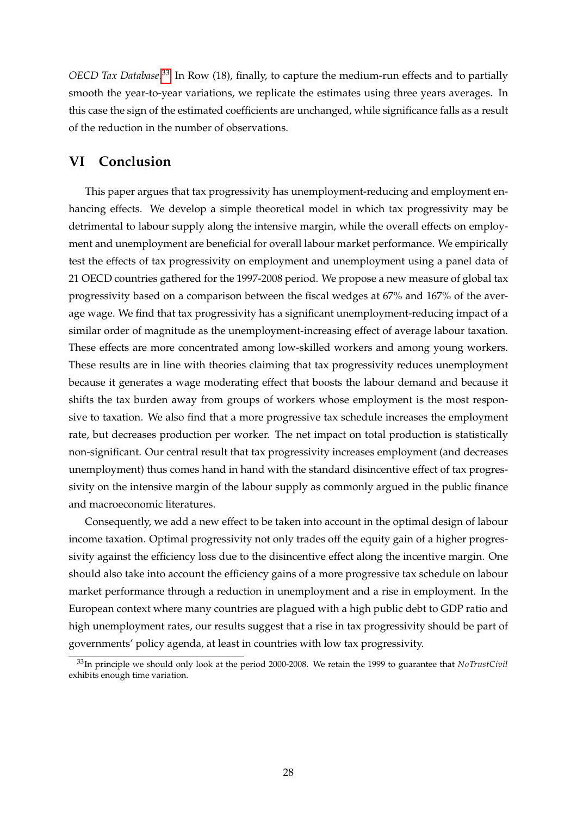*OECD Tax Database*. [33](#page-30-1) In Row (18), finally, to capture the medium-run effects and to partially smooth the year-to-year variations, we replicate the estimates using three years averages. In this case the sign of the estimated coefficients are unchanged, while significance falls as a result of the reduction in the number of observations.

### <span id="page-30-0"></span>**VI Conclusion**

This paper argues that tax progressivity has unemployment-reducing and employment enhancing effects. We develop a simple theoretical model in which tax progressivity may be detrimental to labour supply along the intensive margin, while the overall effects on employment and unemployment are beneficial for overall labour market performance. We empirically test the effects of tax progressivity on employment and unemployment using a panel data of 21 OECD countries gathered for the 1997-2008 period. We propose a new measure of global tax progressivity based on a comparison between the fiscal wedges at 67% and 167% of the average wage. We find that tax progressivity has a significant unemployment-reducing impact of a similar order of magnitude as the unemployment-increasing effect of average labour taxation. These effects are more concentrated among low-skilled workers and among young workers. These results are in line with theories claiming that tax progressivity reduces unemployment because it generates a wage moderating effect that boosts the labour demand and because it shifts the tax burden away from groups of workers whose employment is the most responsive to taxation. We also find that a more progressive tax schedule increases the employment rate, but decreases production per worker. The net impact on total production is statistically non-significant. Our central result that tax progressivity increases employment (and decreases unemployment) thus comes hand in hand with the standard disincentive effect of tax progressivity on the intensive margin of the labour supply as commonly argued in the public finance and macroeconomic literatures.

Consequently, we add a new effect to be taken into account in the optimal design of labour income taxation. Optimal progressivity not only trades off the equity gain of a higher progressivity against the efficiency loss due to the disincentive effect along the incentive margin. One should also take into account the efficiency gains of a more progressive tax schedule on labour market performance through a reduction in unemployment and a rise in employment. In the European context where many countries are plagued with a high public debt to GDP ratio and high unemployment rates, our results suggest that a rise in tax progressivity should be part of governments' policy agenda, at least in countries with low tax progressivity.

<span id="page-30-1"></span><sup>33</sup>In principle we should only look at the period 2000-2008. We retain the 1999 to guarantee that *NoTrustCivil* exhibits enough time variation.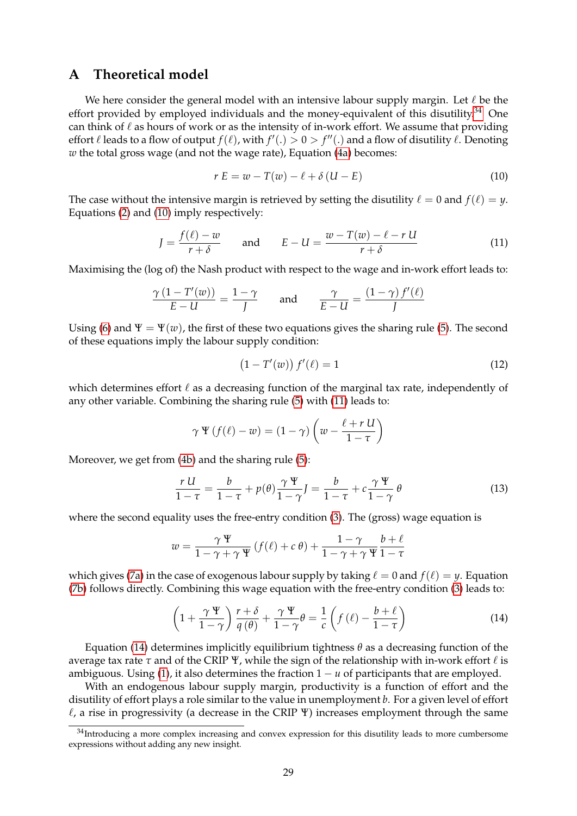### <span id="page-31-0"></span>**A Theoretical model**

We here consider the general model with an intensive labour supply margin. Let  $\ell$  be the effort provided by employed individuals and the money-equivalent of this disutility.<sup>[34](#page-31-1)</sup> One can think of  $\ell$  as hours of work or as the intensity of in-work effort. We assume that providing effort  $\ell$  leads to a flow of output  $f(\ell)$ , with  $f'(.) > 0 > f''(.)$  and a flow of disutility  $\ell$ . Denoting *w* the total gross wage (and not the wage rate), Equation [\(4a\)](#page-7-3) becomes:

<span id="page-31-2"></span>
$$
r E = w - T(w) - \ell + \delta (U - E) \tag{10}
$$

The case without the intensive margin is retrieved by setting the disutility  $\ell = 0$  and  $f(\ell) = \gamma$ . Equations [\(2\)](#page-6-2) and [\(10\)](#page-31-2) imply respectively:

<span id="page-31-3"></span>
$$
J = \frac{f(\ell) - w}{r + \delta} \quad \text{and} \quad E - U = \frac{w - T(w) - \ell - r U}{r + \delta} \tag{11}
$$

Maximising the (log of) the Nash product with respect to the wage and in-work effort leads to:

$$
\frac{\gamma (1 - T'(w))}{E - U} = \frac{1 - \gamma}{J} \quad \text{and} \quad \frac{\gamma}{E - U} = \frac{(1 - \gamma) f'(\ell)}{J}
$$

Using [\(6\)](#page-7-2) and  $\Psi = \Psi(w)$ , the first of these two equations gives the sharing rule [\(5\)](#page-7-1). The second of these equations imply the labour supply condition:

<span id="page-31-5"></span>
$$
(1 - T'(w)) f'(\ell) = 1
$$
\n(12)

which determines effort  $\ell$  as a decreasing function of the marginal tax rate, independently of any other variable. Combining the sharing rule [\(5\)](#page-7-1) with [\(11\)](#page-31-3) leads to:

$$
\gamma \Psi \left( f(\ell) - w \right) = (1 - \gamma) \left( w - \frac{\ell + r \, U}{1 - \tau} \right)
$$

Moreover, we get from [\(4b\)](#page-7-3) and the sharing rule [\(5\)](#page-7-1):

<span id="page-31-6"></span>
$$
\frac{rU}{1-\tau} = \frac{b}{1-\tau} + p(\theta)\frac{\gamma \Psi}{1-\gamma}J = \frac{b}{1-\tau} + c\frac{\gamma \Psi}{1-\gamma} \theta
$$
\n(13)

where the second equality uses the free-entry condition [\(3\)](#page-6-1). The (gross) wage equation is

$$
w = \frac{\gamma \Psi}{1 - \gamma + \gamma \Psi} \left( f(\ell) + c \theta \right) + \frac{1 - \gamma}{1 - \gamma + \gamma \Psi} \frac{b + \ell}{1 - \tau}
$$

which gives [\(7a\)](#page-8-1) in the case of exogenous labour supply by taking  $\ell = 0$  and  $f(\ell) = \gamma$ . Equation [\(7b\)](#page-8-1) follows directly. Combining this wage equation with the free-entry condition [\(3\)](#page-6-1) leads to:

<span id="page-31-4"></span>
$$
\left(1+\frac{\gamma \Psi}{1-\gamma}\right)\frac{r+\delta}{q(\theta)}+\frac{\gamma \Psi}{1-\gamma}\theta=\frac{1}{c}\left(f(\ell)-\frac{b+\ell}{1-\tau}\right)
$$
\n(14)

Equation [\(14\)](#page-31-4) determines implicitly equilibrium tightness *θ* as a decreasing function of the average tax rate  $\tau$  and of the CRIP  $\Psi$ , while the sign of the relationship with in-work effort  $\ell$  is ambiguous. Using [\(1\)](#page-6-0), it also determines the fraction  $1 - u$  of participants that are employed.

With an endogenous labour supply margin, productivity is a function of effort and the disutility of effort plays a role similar to the value in unemployment *b*. For a given level of effort  $\ell$ , a rise in progressivity (a decrease in the CRIP Ψ) increases employment through the same

<span id="page-31-1"></span> $34$ Introducing a more complex increasing and convex expression for this disutility leads to more cumbersome expressions without adding any new insight.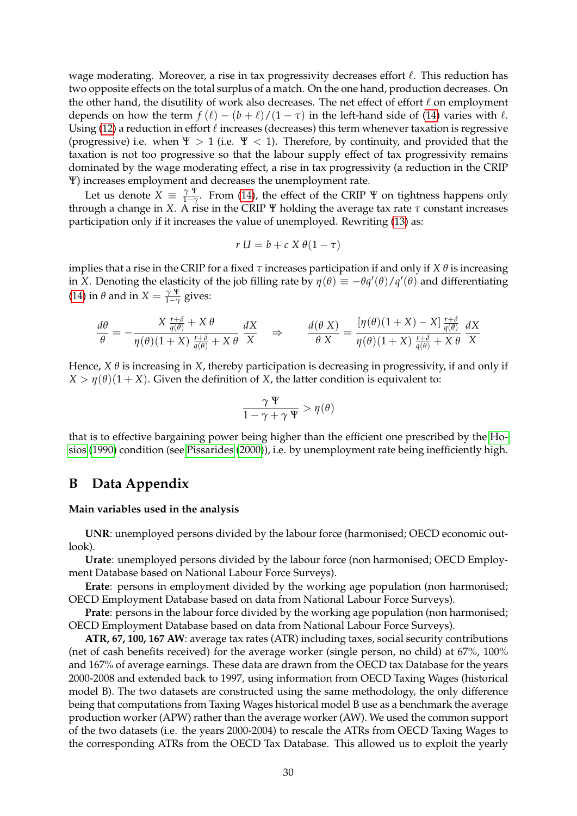wage moderating. Moreover, a rise in tax progressivity decreases effort  $\ell$ . This reduction has two opposite effects on the total surplus of a match. On the one hand, production decreases. On the other hand, the disutility of work also decreases. The net effect of effort  $\ell$  on employment depends on how the term  $f(\ell) - (b + \ell)/(1 - \tau)$  in the left-hand side of [\(14\)](#page-31-4) varies with  $\ell$ . Using [\(12\)](#page-31-5) a reduction in effort  $\ell$  increases (decreases) this term whenever taxation is regressive (progressive) i.e. when  $\Psi > 1$  (i.e.  $\Psi < 1$ ). Therefore, by continuity, and provided that the taxation is not too progressive so that the labour supply effect of tax progressivity remains dominated by the wage moderating effect, a rise in tax progressivity (a reduction in the CRIP Ψ) increases employment and decreases the unemployment rate.

Let us denote  $X = \frac{\gamma \Psi}{1-\gamma}$  $\frac{\gamma}{1-\gamma}$ . From [\(14\)](#page-31-4), the effect of the CRIP  $\Psi$  on tightness happens only through a change in *X*. A rise in the CRIP Ψ holding the average tax rate *τ* constant increases participation only if it increases the value of unemployed. Rewriting [\(13\)](#page-31-6) as:

$$
r U = b + c X \theta (1 - \tau)
$$

implies that a rise in the CRIP for a fixed *τ* increases participation if and only if *X θ* is increasing in *X*. Denoting the elasticity of the job filling rate by  $\eta(\theta) \equiv -\theta q'(\theta)/q'(\theta)$  and differentiating [\(14\)](#page-31-4) in  $\theta$  and in  $X = \frac{\gamma \Psi}{1-\gamma}$  $\frac{1}{1-\gamma}$  gives:

$$
\frac{d\theta}{\theta} = -\frac{X\frac{r+\delta}{q(\theta)} + X\theta}{\eta(\theta)(1+X)\frac{r+\delta}{q(\theta)} + X\theta} \frac{dX}{X} \quad \Rightarrow \qquad \frac{d(\theta X)}{\theta X} = \frac{[\eta(\theta)(1+X) - X]\frac{r+\delta}{q(\theta)}}{\eta(\theta)(1+X)\frac{r+\delta}{q(\theta)} + X\theta} \frac{dX}{X}
$$

Hence,  $X \theta$  is increasing in  $X$ , thereby participation is decreasing in progressivity, if and only if *X* >  $\eta$ ( $\theta$ )(1 + *X*). Given the definition of *X*, the latter condition is equivalent to:

$$
\frac{\gamma\,\Psi}{1-\gamma+\gamma\,\Psi}>\eta(\theta)
$$

that is to effective bargaining power being higher than the efficient one prescribed by the [Ho](#page-36-12)[sios](#page-36-12) [\(1990\)](#page-36-12) condition (see [Pissarides](#page-37-11) [\(2000\)](#page-37-11)), i.e. by unemployment rate being inefficiently high.

### <span id="page-32-0"></span>**B Data Appendix**

#### **Main variables used in the analysis**

**UNR**: unemployed persons divided by the labour force (harmonised; OECD economic outlook).

**Urate**: unemployed persons divided by the labour force (non harmonised; OECD Employment Database based on National Labour Force Surveys).

**Erate**: persons in employment divided by the working age population (non harmonised; OECD Employment Database based on data from National Labour Force Surveys).

**Prate**: persons in the labour force divided by the working age population (non harmonised; OECD Employment Database based on data from National Labour Force Surveys).

**ATR, 67, 100, 167 AW**: average tax rates (ATR) including taxes, social security contributions (net of cash benefits received) for the average worker (single person, no child) at 67%, 100% and 167% of average earnings. These data are drawn from the OECD tax Database for the years 2000-2008 and extended back to 1997, using information from OECD Taxing Wages (historical model B). The two datasets are constructed using the same methodology, the only difference being that computations from Taxing Wages historical model B use as a benchmark the average production worker (APW) rather than the average worker (AW). We used the common support of the two datasets (i.e. the years 2000-2004) to rescale the ATRs from OECD Taxing Wages to the corresponding ATRs from the OECD Tax Database. This allowed us to exploit the yearly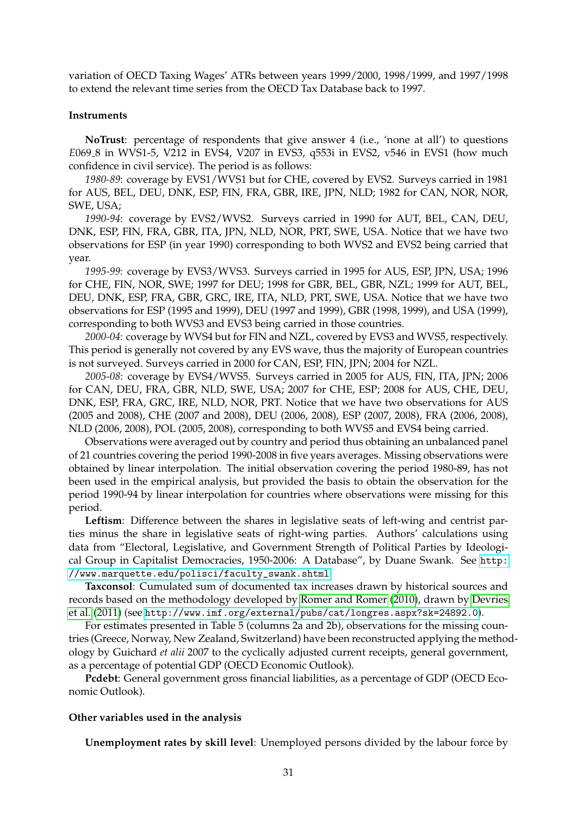variation of OECD Taxing Wages' ATRs between years 1999/2000, 1998/1999, and 1997/1998 to extend the relevant time series from the OECD Tax Database back to 1997.

#### **Instruments**

**NoTrust**: percentage of respondents that give answer 4 (i.e., 'none at all') to questions *E*069 8 in WVS1-5, V212 in EVS4, V207 in EVS3, q553i in EVS2, v546 in EVS1 (how much confidence in civil service). The period is as follows:

*1980-89*: coverage by EVS1/WVS1 but for CHE, covered by EVS2. Surveys carried in 1981 for AUS, BEL, DEU, DNK, ESP, FIN, FRA, GBR, IRE, JPN, NLD; 1982 for CAN, NOR, NOR, SWE, USA;

*1990-94*: coverage by EVS2/WVS2. Surveys carried in 1990 for AUT, BEL, CAN, DEU, DNK, ESP, FIN, FRA, GBR, ITA, JPN, NLD, NOR, PRT, SWE, USA. Notice that we have two observations for ESP (in year 1990) corresponding to both WVS2 and EVS2 being carried that year.

*1995-99*: coverage by EVS3/WVS3. Surveys carried in 1995 for AUS, ESP, JPN, USA; 1996 for CHE, FIN, NOR, SWE; 1997 for DEU; 1998 for GBR, BEL, GBR, NZL; 1999 for AUT, BEL, DEU, DNK, ESP, FRA, GBR, GRC, IRE, ITA, NLD, PRT, SWE, USA. Notice that we have two observations for ESP (1995 and 1999), DEU (1997 and 1999), GBR (1998, 1999), and USA (1999), corresponding to both WVS3 and EVS3 being carried in those countries.

*2000-04*: coverage by WVS4 but for FIN and NZL, covered by EVS3 and WVS5, respectively. This period is generally not covered by any EVS wave, thus the majority of European countries is not surveyed. Surveys carried in 2000 for CAN, ESP, FIN, JPN; 2004 for NZL.

*2005-08*: coverage by EVS4/WVS5. Surveys carried in 2005 for AUS, FIN, ITA, JPN; 2006 for CAN, DEU, FRA, GBR, NLD, SWE, USA; 2007 for CHE, ESP; 2008 for AUS, CHE, DEU, DNK, ESP, FRA, GRC, IRE, NLD, NOR, PRT. Notice that we have two observations for AUS (2005 and 2008), CHE (2007 and 2008), DEU (2006, 2008), ESP (2007, 2008), FRA (2006, 2008), NLD (2006, 2008), POL (2005, 2008), corresponding to both WVS5 and EVS4 being carried.

Observations were averaged out by country and period thus obtaining an unbalanced panel of 21 countries covering the period 1990-2008 in five years averages. Missing observations were obtained by linear interpolation. The initial observation covering the period 1980-89, has not been used in the empirical analysis, but provided the basis to obtain the observation for the period 1990-94 by linear interpolation for countries where observations were missing for this period.

**Leftism**: Difference between the shares in legislative seats of left-wing and centrist parties minus the share in legislative seats of right-wing parties. Authors' calculations using data from "Electoral, Legislative, and Government Strength of Political Parties by Ideological Group in Capitalist Democracies, 1950-2006: A Database", by Duane Swank. See [http:](http://www.marquette.edu/polisci/faculty_swank.shtml) [//www.marquette.edu/polisci/faculty\\_swank.shtml](http://www.marquette.edu/polisci/faculty_swank.shtml).

**Taxconsol**: Cumulated sum of documented tax increases drawn by historical sources and records based on the methodology developed by [Romer and Romer](#page-37-15) [\(2010\)](#page-37-15), drawn by [Devries](#page-35-12) [et al.](#page-35-12) [\(2011\)](#page-35-12) (see <http://www.imf.org/external/pubs/cat/longres.aspx?sk=24892.0>).

For estimates presented in Table 5 (columns 2a and 2b), observations for the missing countries (Greece, Norway, New Zealand, Switzerland) have been reconstructed applying the methodology by Guichard *et alii* 2007 to the cyclically adjusted current receipts, general government, as a percentage of potential GDP (OECD Economic Outlook).

**Pcdebt**: General government gross financial liabilities, as a percentage of GDP (OECD Economic Outlook).

#### **Other variables used in the analysis**

**Unemployment rates by skill level**: Unemployed persons divided by the labour force by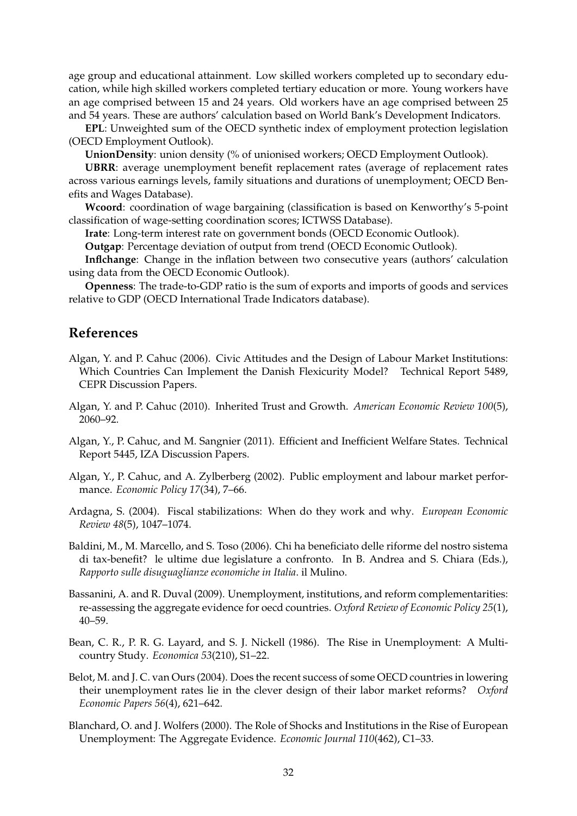age group and educational attainment. Low skilled workers completed up to secondary education, while high skilled workers completed tertiary education or more. Young workers have an age comprised between 15 and 24 years. Old workers have an age comprised between 25 and 54 years. These are authors' calculation based on World Bank's Development Indicators.

**EPL**: Unweighted sum of the OECD synthetic index of employment protection legislation (OECD Employment Outlook).

**UnionDensity**: union density (% of unionised workers; OECD Employment Outlook).

**UBRR**: average unemployment benefit replacement rates (average of replacement rates across various earnings levels, family situations and durations of unemployment; OECD Benefits and Wages Database).

**Wcoord**: coordination of wage bargaining (classification is based on Kenworthy's 5-point classification of wage-setting coordination scores; ICTWSS Database).

**Irate**: Long-term interest rate on government bonds (OECD Economic Outlook).

**Outgap**: Percentage deviation of output from trend (OECD Economic Outlook).

**Inflchange**: Change in the inflation between two consecutive years (authors' calculation using data from the OECD Economic Outlook).

**Openness**: The trade-to-GDP ratio is the sum of exports and imports of goods and services relative to GDP (OECD International Trade Indicators database).

#### **References**

- <span id="page-34-5"></span>Algan, Y. and P. Cahuc (2006). Civic Attitudes and the Design of Labour Market Institutions: Which Countries Can Implement the Danish Flexicurity Model? Technical Report 5489, CEPR Discussion Papers.
- <span id="page-34-6"></span>Algan, Y. and P. Cahuc (2010). Inherited Trust and Growth. *American Economic Review 100*(5), 2060–92.
- <span id="page-34-8"></span>Algan, Y., P. Cahuc, and M. Sangnier (2011). Efficient and Inefficient Welfare States. Technical Report 5445, IZA Discussion Papers.
- <span id="page-34-2"></span>Algan, Y., P. Cahuc, and A. Zylberberg (2002). Public employment and labour market performance. *Economic Policy 17*(34), 7–66.
- <span id="page-34-7"></span>Ardagna, S. (2004). Fiscal stabilizations: When do they work and why. *European Economic Review 48*(5), 1047–1074.
- <span id="page-34-9"></span>Baldini, M., M. Marcello, and S. Toso (2006). Chi ha beneficiato delle riforme del nostro sistema di tax-benefit? le ultime due legislature a confronto. In B. Andrea and S. Chiara (Eds.), *Rapporto sulle disuguaglianze economiche in Italia*. il Mulino.
- <span id="page-34-4"></span>Bassanini, A. and R. Duval (2009). Unemployment, institutions, and reform complementarities: re-assessing the aggregate evidence for oecd countries. *Oxford Review of Economic Policy 25*(1), 40–59.
- <span id="page-34-0"></span>Bean, C. R., P. R. G. Layard, and S. J. Nickell (1986). The Rise in Unemployment: A Multicountry Study. *Economica 53*(210), S1–22.
- <span id="page-34-3"></span>Belot, M. and J. C. van Ours (2004). Does the recent success of some OECD countries in lowering their unemployment rates lie in the clever design of their labor market reforms? *Oxford Economic Papers 56*(4), 621–642.
- <span id="page-34-1"></span>Blanchard, O. and J. Wolfers (2000). The Role of Shocks and Institutions in the Rise of European Unemployment: The Aggregate Evidence. *Economic Journal 110*(462), C1–33.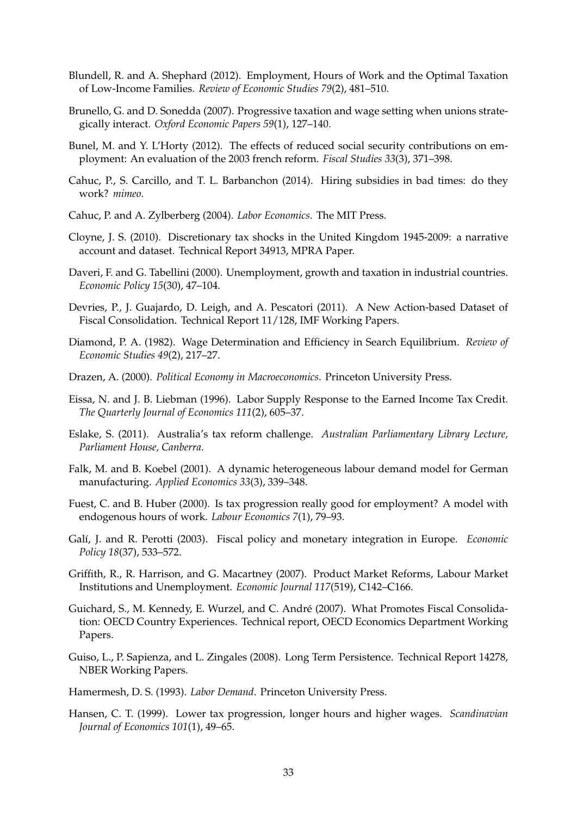- <span id="page-35-4"></span>Blundell, R. and A. Shephard (2012). Employment, Hours of Work and the Optimal Taxation of Low-Income Families. *Review of Economic Studies 79*(2), 481–510.
- <span id="page-35-2"></span>Brunello, G. and D. Sonedda (2007). Progressive taxation and wage setting when unions strategically interact. *Oxford Economic Papers 59*(1), 127–140.
- <span id="page-35-17"></span>Bunel, M. and Y. L'Horty (2012). The effects of reduced social security contributions on employment: An evaluation of the 2003 french reform. *Fiscal Studies 33*(3), 371–398.
- <span id="page-35-8"></span>Cahuc, P., S. Carcillo, and T. L. Barbanchon (2014). Hiring subsidies in bad times: do they work? *mimeo*.
- <span id="page-35-11"></span>Cahuc, P. and A. Zylberberg (2004). *Labor Economics*. The MIT Press.
- <span id="page-35-16"></span>Cloyne, J. S. (2010). Discretionary tax shocks in the United Kingdom 1945-2009: a narrative account and dataset. Technical Report 34913, MPRA Paper.
- <span id="page-35-0"></span>Daveri, F. and G. Tabellini (2000). Unemployment, growth and taxation in industrial countries. *Economic Policy 15*(30), 47–104.
- <span id="page-35-12"></span>Devries, P., J. Guajardo, D. Leigh, and A. Pescatori (2011). A New Action-based Dataset of Fiscal Consolidation. Technical Report 11/128, IMF Working Papers.
- <span id="page-35-5"></span>Diamond, P. A. (1982). Wage Determination and Efficiency in Search Equilibrium. *Review of Economic Studies 49*(2), 217–27.
- <span id="page-35-15"></span>Drazen, A. (2000). *Political Economy in Macroeconomics*. Princeton University Press.
- <span id="page-35-3"></span>Eissa, N. and J. B. Liebman (1996). Labor Supply Response to the Earned Income Tax Credit. *The Quarterly Journal of Economics 111*(2), 605–37.
- <span id="page-35-18"></span>Eslake, S. (2011). Australia's tax reform challenge. *Australian Parliamentary Library Lecture, Parliament House, Canberra*.
- <span id="page-35-7"></span>Falk, M. and B. Koebel (2001). A dynamic heterogeneous labour demand model for German manufacturing. *Applied Economics 33*(3), 339–348.
- <span id="page-35-10"></span>Fuest, C. and B. Huber (2000). Is tax progression really good for employment? A model with endogenous hours of work. *Labour Economics 7*(1), 79–93.
- <span id="page-35-19"></span>Galí, J. and R. Perotti (2003). Fiscal policy and monetary integration in Europe. *Economic Policy 18*(37), 533–572.
- <span id="page-35-1"></span>Griffith, R., R. Harrison, and G. Macartney (2007). Product Market Reforms, Labour Market Institutions and Unemployment. *Economic Journal 117*(519), C142–C166.
- <span id="page-35-13"></span>Guichard, S., M. Kennedy, E. Wurzel, and C. André (2007). What Promotes Fiscal Consolidation: OECD Country Experiences. Technical report, OECD Economics Department Working Papers.
- <span id="page-35-14"></span>Guiso, L., P. Sapienza, and L. Zingales (2008). Long Term Persistence. Technical Report 14278, NBER Working Papers.
- <span id="page-35-6"></span>Hamermesh, D. S. (1993). *Labor Demand*. Princeton University Press.
- <span id="page-35-9"></span>Hansen, C. T. (1999). Lower tax progression, longer hours and higher wages. *Scandinavian Journal of Economics 101*(1), 49–65.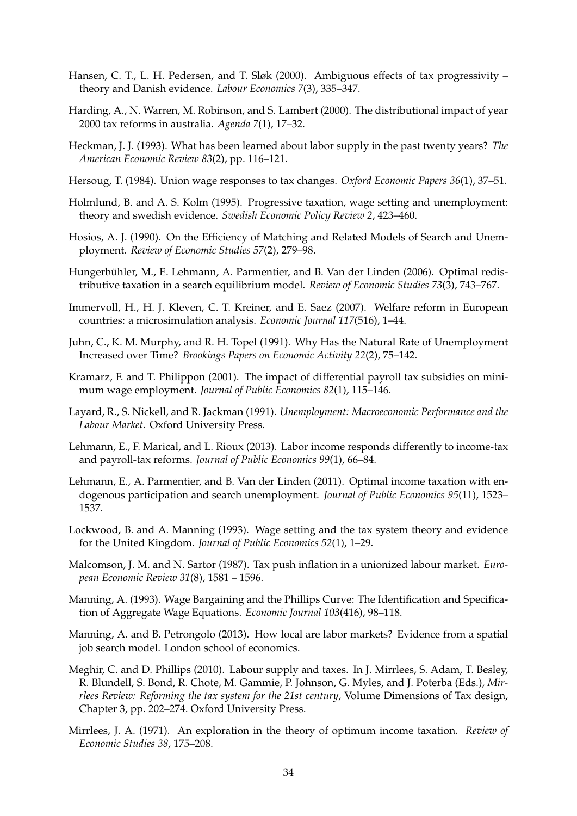- <span id="page-36-9"></span>Hansen, C. T., L. H. Pedersen, and T. Sløk (2000). Ambiguous effects of tax progressivity – theory and Danish evidence. *Labour Economics 7*(3), 335–347.
- <span id="page-36-18"></span>Harding, A., N. Warren, M. Robinson, and S. Lambert (2000). The distributional impact of year 2000 tax reforms in australia. *Agenda 7*(1), 17–32.
- <span id="page-36-15"></span>Heckman, J. J. (1993). What has been learned about labor supply in the past twenty years? *The American Economic Review 83*(2), pp. 116–121.
- <span id="page-36-0"></span>Hersoug, T. (1984). Union wage responses to tax changes. *Oxford Economic Papers 36*(1), 37–51.
- <span id="page-36-7"></span>Holmlund, B. and A. S. Kolm (1995). Progressive taxation, wage setting and unemployment: theory and swedish evidence. *Swedish Economic Policy Review 2*, 423–460.
- <span id="page-36-12"></span>Hosios, A. J. (1990). On the Efficiency of Matching and Related Models of Search and Unemployment. *Review of Economic Studies 57*(2), 279–98.
- <span id="page-36-3"></span>Hungerbühler, M., E. Lehmann, A. Parmentier, and B. Van der Linden (2006). Optimal redistributive taxation in a search equilibrium model. *Review of Economic Studies 73*(3), 743–767.
- <span id="page-36-13"></span>Immervoll, H., H. J. Kleven, C. T. Kreiner, and E. Saez (2007). Welfare reform in European countries: a microsimulation analysis. *Economic Journal 117*(516), 1–44.
- <span id="page-36-10"></span>Juhn, C., K. M. Murphy, and R. H. Topel (1991). Why Has the Natural Rate of Unemployment Increased over Time? *Brookings Papers on Economic Activity 22*(2), 75–142.
- <span id="page-36-11"></span>Kramarz, F. and T. Philippon (2001). The impact of differential payroll tax subsidies on minimum wage employment. *Journal of Public Economics 82*(1), 115–146.
- <span id="page-36-5"></span>Layard, R., S. Nickell, and R. Jackman (1991). *Unemployment: Macroeconomic Performance and the Labour Market*. Oxford University Press.
- <span id="page-36-17"></span>Lehmann, E., F. Marical, and L. Rioux (2013). Labor income responds differently to income-tax and payroll-tax reforms. *Journal of Public Economics 99*(1), 66–84.
- <span id="page-36-4"></span>Lehmann, E., A. Parmentier, and B. Van der Linden (2011). Optimal income taxation with endogenous participation and search unemployment. *Journal of Public Economics 95*(11), 1523– 1537.
- <span id="page-36-1"></span>Lockwood, B. and A. Manning (1993). Wage setting and the tax system theory and evidence for the United Kingdom. *Journal of Public Economics 52*(1), 1–29.
- <span id="page-36-6"></span>Malcomson, J. M. and N. Sartor (1987). Tax push inflation in a unionized labour market. *European Economic Review 31*(8), 1581 – 1596.
- <span id="page-36-8"></span>Manning, A. (1993). Wage Bargaining and the Phillips Curve: The Identification and Specification of Aggregate Wage Equations. *Economic Journal 103*(416), 98–118.
- <span id="page-36-16"></span>Manning, A. and B. Petrongolo (2013). How local are labor markets? Evidence from a spatial job search model. London school of economics.
- <span id="page-36-14"></span>Meghir, C. and D. Phillips (2010). Labour supply and taxes. In J. Mirrlees, S. Adam, T. Besley, R. Blundell, S. Bond, R. Chote, M. Gammie, P. Johnson, G. Myles, and J. Poterba (Eds.), *Mirrlees Review: Reforming the tax system for the 21st century*, Volume Dimensions of Tax design, Chapter 3, pp. 202–274. Oxford University Press.
- <span id="page-36-2"></span>Mirrlees, J. A. (1971). An exploration in the theory of optimum income taxation. *Review of Economic Studies 38*, 175–208.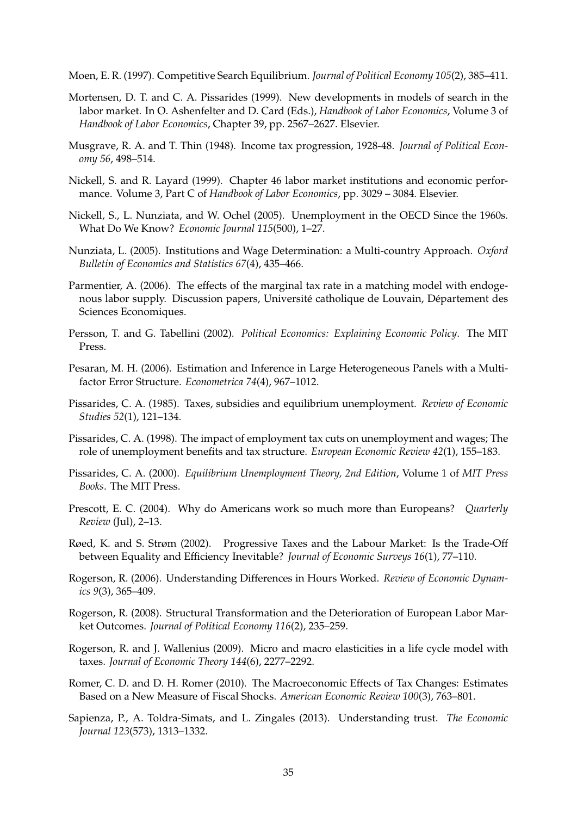<span id="page-37-12"></span>Moen, E. R. (1997). Competitive Search Equilibrium. *Journal of Political Economy 105*(2), 385–411.

- <span id="page-37-10"></span>Mortensen, D. T. and C. A. Pissarides (1999). New developments in models of search in the labor market. In O. Ashenfelter and D. Card (Eds.), *Handbook of Labor Economics*, Volume 3 of *Handbook of Labor Economics*, Chapter 39, pp. 2567–2627. Elsevier.
- <span id="page-37-5"></span>Musgrave, R. A. and T. Thin (1948). Income tax progression, 1928-48. *Journal of Political Economy 56*, 498–514.
- <span id="page-37-0"></span>Nickell, S. and R. Layard (1999). Chapter 46 labor market institutions and economic performance. Volume 3, Part C of *Handbook of Labor Economics*, pp. 3029 – 3084. Elsevier.
- <span id="page-37-1"></span>Nickell, S., L. Nunziata, and W. Ochel (2005). Unemployment in the OECD Since the 1960s. What Do We Know? *Economic Journal 115*(500), 1–27.
- <span id="page-37-14"></span>Nunziata, L. (2005). Institutions and Wage Determination: a Multi-country Approach. *Oxford Bulletin of Economics and Statistics 67*(4), 435–466.
- <span id="page-37-13"></span>Parmentier, A. (2006). The effects of the marginal tax rate in a matching model with endogenous labor supply. Discussion papers, Université catholique de Louvain, Département des Sciences Economiques.
- <span id="page-37-17"></span>Persson, T. and G. Tabellini (2002). *Political Economics: Explaining Economic Policy*. The MIT Press.
- <span id="page-37-18"></span>Pesaran, M. H. (2006). Estimation and Inference in Large Heterogeneous Panels with a Multifactor Error Structure. *Econometrica 74*(4), 967–1012.
- <span id="page-37-3"></span>Pissarides, C. A. (1985). Taxes, subsidies and equilibrium unemployment. *Review of Economic Studies 52*(1), 121–134.
- <span id="page-37-4"></span>Pissarides, C. A. (1998). The impact of employment tax cuts on unemployment and wages; The role of unemployment benefits and tax structure. *European Economic Review 42*(1), 155–183.
- <span id="page-37-11"></span>Pissarides, C. A. (2000). *Equilibrium Unemployment Theory, 2nd Edition*, Volume 1 of *MIT Press Books*. The MIT Press.
- <span id="page-37-6"></span>Prescott, E. C. (2004). Why do Americans work so much more than Europeans? *Quarterly Review* (Jul), 2–13.
- <span id="page-37-9"></span>Røed, K. and S. Strøm (2002). Progressive Taxes and the Labour Market: Is the Trade-Off between Equality and Efficiency Inevitable? *Journal of Economic Surveys 16*(1), 77–110.
- <span id="page-37-2"></span>Rogerson, R. (2006). Understanding Differences in Hours Worked. *Review of Economic Dynamics 9*(3), 365–409.
- <span id="page-37-7"></span>Rogerson, R. (2008). Structural Transformation and the Deterioration of European Labor Market Outcomes. *Journal of Political Economy 116*(2), 235–259.
- <span id="page-37-8"></span>Rogerson, R. and J. Wallenius (2009). Micro and macro elasticities in a life cycle model with taxes. *Journal of Economic Theory 144*(6), 2277–2292.
- <span id="page-37-15"></span>Romer, C. D. and D. H. Romer (2010). The Macroeconomic Effects of Tax Changes: Estimates Based on a New Measure of Fiscal Shocks. *American Economic Review 100*(3), 763–801.
- <span id="page-37-16"></span>Sapienza, P., A. Toldra-Simats, and L. Zingales (2013). Understanding trust. *The Economic Journal 123*(573), 1313–1332.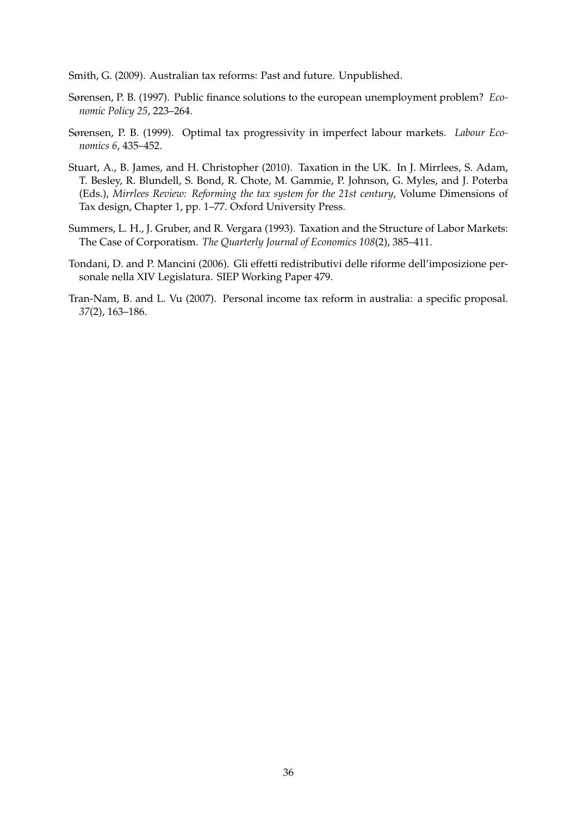<span id="page-38-6"></span>Smith, G. (2009). Australian tax reforms: Past and future. Unpublished.

- <span id="page-38-0"></span>Sørensen, P. B. (1997). Public finance solutions to the european unemployment problem? *Economic Policy 25*, 223–264.
- <span id="page-38-1"></span>Sørensen, P. B. (1999). Optimal tax progressivity in imperfect labour markets. *Labour Economics 6*, 435–452.
- <span id="page-38-3"></span>Stuart, A., B. James, and H. Christopher (2010). Taxation in the UK. In J. Mirrlees, S. Adam, T. Besley, R. Blundell, S. Bond, R. Chote, M. Gammie, P. Johnson, G. Myles, and J. Poterba (Eds.), *Mirrlees Review: Reforming the tax system for the 21st century*, Volume Dimensions of Tax design, Chapter 1, pp. 1–77. Oxford University Press.
- <span id="page-38-2"></span>Summers, L. H., J. Gruber, and R. Vergara (1993). Taxation and the Structure of Labor Markets: The Case of Corporatism. *The Quarterly Journal of Economics 108*(2), 385–411.
- <span id="page-38-4"></span>Tondani, D. and P. Mancini (2006). Gli effetti redistributivi delle riforme dell'imposizione personale nella XIV Legislatura. SIEP Working Paper 479.
- <span id="page-38-5"></span>Tran-Nam, B. and L. Vu (2007). Personal income tax reform in australia: a specific proposal. *37*(2), 163–186.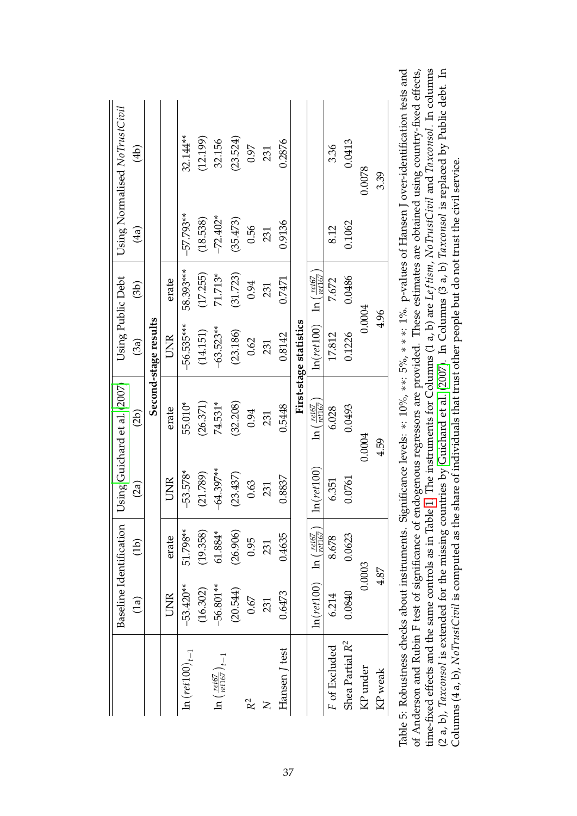|                                                 |                                                      | Baseline Identification |               | Using Guichard et al. (2007)           | Using Public Debt                                                               |           |                               | Using Normalised NoTrustCivil                                                                                                                                                                                                                                                                                       |
|-------------------------------------------------|------------------------------------------------------|-------------------------|---------------|----------------------------------------|---------------------------------------------------------------------------------|-----------|-------------------------------|---------------------------------------------------------------------------------------------------------------------------------------------------------------------------------------------------------------------------------------------------------------------------------------------------------------------|
|                                                 | $\binom{[a]}{b}$                                     | (d b)                   | (2a)          | (2b)                                   | (3a)                                                                            | (3b)      | (4a)                          | $\bigoplus$                                                                                                                                                                                                                                                                                                         |
|                                                 |                                                      |                         |               |                                        | Second-stage results                                                            |           |                               |                                                                                                                                                                                                                                                                                                                     |
|                                                 | UNR                                                  | erate                   | <b>UNR</b>    | erate                                  | UNR                                                                             | erate     |                               |                                                                                                                                                                                                                                                                                                                     |
| $\ln (ret100)_{t-1}$                            | $-53.420**$                                          | 51.798**                | $-53.578*$    | 55.010*                                | $-56.535***$                                                                    | 58.393*** | $-57.793**$                   | 32.144**                                                                                                                                                                                                                                                                                                            |
|                                                 | (16.302)                                             | (19.358)                | (21.789)      | (26.371)                               | (14.151)                                                                        | (17.255)  | (18.538)                      | (12.199)                                                                                                                                                                                                                                                                                                            |
| $\ln \left( \frac{ret67}{ret167} \right)_{t-1}$ | $-56.801**$                                          | 61.884*                 | $-64.397**$   | 74.531*                                | $-63.523**$                                                                     | 71.713*   | $-72.402*$                    | 32.156                                                                                                                                                                                                                                                                                                              |
|                                                 | (20.544)                                             | (26.906)                | (23.437)      | (32.208)                               | (23.186)                                                                        | (31.723)  | (35.473)                      | (23.524)                                                                                                                                                                                                                                                                                                            |
| $R^2$                                           | 0.67                                                 | 0.95                    | 0.63          | 0.94                                   | 0.62                                                                            | 0.94      | 0.56                          | 0.97                                                                                                                                                                                                                                                                                                                |
| $\mathsf{X}$                                    | 231                                                  | 231                     | 231           | 231                                    | 231                                                                             | 231       | 231                           | 231                                                                                                                                                                                                                                                                                                                 |
| Hansen / test                                   | 0.6473                                               | 0.4635                  | 0.8837        | 0.5448                                 | 0.8142                                                                          | 0.7471    | 0.9136                        | 0.2876                                                                                                                                                                                                                                                                                                              |
|                                                 |                                                      |                         |               |                                        | First-stage statistics                                                          |           |                               |                                                                                                                                                                                                                                                                                                                     |
|                                                 | $\ln(ret100)$ $\ln\left(\frac{ret67}{ret167}\right)$ |                         | $\ln(ret100)$ | $\ln\left(\frac{ret67}{ret167}\right)$ | $\ln(\textit{ret}100)$ $\ln\left(\frac{\textit{ret67}}{\textit{ret167}}\right)$ |           |                               |                                                                                                                                                                                                                                                                                                                     |
| F of Excluded                                   | 6.214                                                | 8.678                   | 6.351         | 6.028                                  | 17.812                                                                          | 7.672     | 8.12                          | 3.36                                                                                                                                                                                                                                                                                                                |
| Shea Partial R <sup>2</sup>                     | 0.0840                                               | 0.0623                  | 0.0761        | 0.0493                                 | 0.1226                                                                          | 0.0486    | 0.1062                        | 0.0413                                                                                                                                                                                                                                                                                                              |
| KP under                                        |                                                      | 0.0003                  |               | 0.0004                                 | 0.0004                                                                          |           |                               | 0.0078                                                                                                                                                                                                                                                                                                              |
| $KP$ weak                                       | 4.87                                                 |                         |               | 4.59                                   | 4.96                                                                            |           |                               | 3.39                                                                                                                                                                                                                                                                                                                |
|                                                 |                                                      |                         | :<br>;<br>;   | $\frac{1}{1}$ $\frac{1}{1}$            | $\tilde{c}$<br>$\tilde{c}$                                                      |           | $\overline{r}$ $\overline{r}$ | $\frac{1}{2}$ $\frac{1}{2}$ $\frac{1}{2}$ $\frac{1}{2}$ $\frac{1}{2}$ $\frac{1}{2}$ $\frac{1}{2}$ $\frac{1}{2}$ $\frac{1}{2}$ $\frac{1}{2}$ $\frac{1}{2}$ $\frac{1}{2}$ $\frac{1}{2}$ $\frac{1}{2}$ $\frac{1}{2}$ $\frac{1}{2}$ $\frac{1}{2}$ $\frac{1}{2}$ $\frac{1}{2}$ $\frac{1}{2}$ $\frac{1}{2}$ $\frac{1}{2}$ |

<span id="page-39-0"></span>

| Table 5: Robustness checks about instruments. Significance levels: *: 10%, **: 5%, **: 1%. p-values of Hansen J over-identification tests and        |
|------------------------------------------------------------------------------------------------------------------------------------------------------|
| of Anderson and Rubin F test of significance of endogenous regressors are provided. These estimates are obtained using country-fixed effects,        |
| time-fixed effects and the same controls as in Table 1. The instruments for Columns (1 a, b) are Leftism, NoTrustCivil and Taxconsol. In columns     |
| $(2 a, b)$ , Taxconsol is extended for the missing countries by Guichard et al. (2007). In Columns (3 a, b) Taxconsol is replaced by Public debt. In |
| Columns $(4a, b)$ , NoTrustCivil is computed as the share of individuals that trust other people but do not trust the civil service.                 |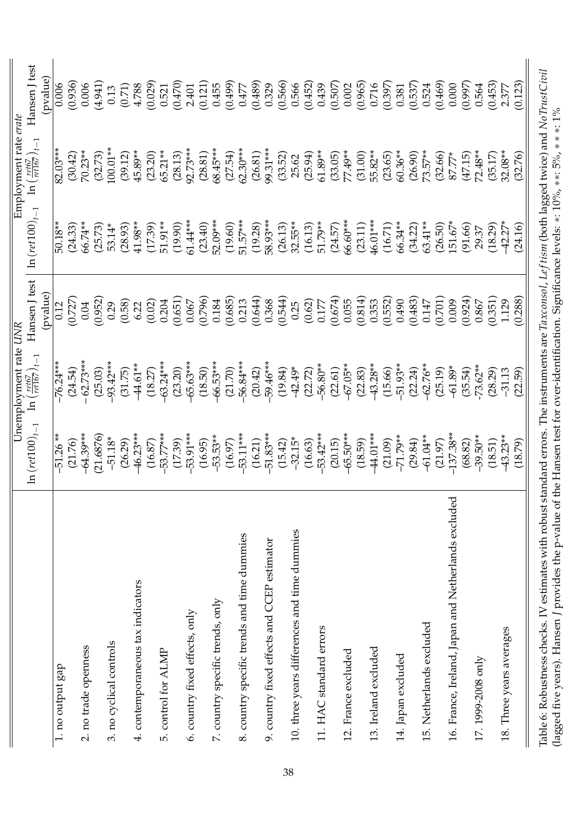<span id="page-40-0"></span>

|                                                     |                                   | Unemployment rate UNR                                                |                  |                               | Employment rate <i>erate</i>                                |                  |
|-----------------------------------------------------|-----------------------------------|----------------------------------------------------------------------|------------------|-------------------------------|-------------------------------------------------------------|------------------|
|                                                     | $\ln \left( ret100\right) _{t-1}$ | $\left(\frac{ret67}{ret167}\right)_{t-1}$<br>$\overline{\mathbf{a}}$ | Hansen J test    | $\ln \left( ret100\right) _t$ | $\left(\frac{ret67}{ret167}\right)_{t-1}$<br>$\overline{a}$ | Hansen J test    |
|                                                     |                                   |                                                                      | (pvalue)         |                               |                                                             | (pvalue)         |
| 1. no output gap                                    | -51.26                            | $-76.24***$                                                          | 0.12             | 50.18**                       | 82.03***                                                    | 0.006            |
|                                                     | (21.76)                           | (24.54)                                                              | (0.727)          | (24.33)                       | (30.42)                                                     | (0.936)          |
| 2. no trade openness                                | 64.39***                          | 62.73***                                                             | 0.04             | 66.74**                       | 70.23**                                                     | 0.006            |
|                                                     | 21.6876                           | (25.03)                                                              | (0.952)          | (25.73)                       | (32.73)                                                     | (4.941)          |
| 3. no cyclical controls                             | $-51.18*$                         | 93.42***                                                             | 0.29             | 53.14*                        | $-00.01**$                                                  | 0.13             |
|                                                     | (26.29)                           | (31.75)                                                              | (0.58)           | (28.93)                       | (39.12)                                                     | (0.71)           |
| 4. contemporaneous tax indicators                   | 46.23***                          | 44.61**                                                              | 6.22             | $41.98**$                     | 45.89**                                                     | 4.788            |
|                                                     | (16.87)                           | (18.27)                                                              | (0.02)           | (17.39)                       | (23.20)                                                     | (0.029)          |
| 5. control for ALMP                                 | 53.77***                          | $-63.24***$                                                          | 0.204            | 51.91**                       | 65.21**                                                     | 0.521            |
| 6. country fixed effects, only                      | 53.91***<br>(17.39)               | $65.63***$<br>(23.20)                                                | (0.651)<br>0.067 | 61.44***<br>(19.90)           | 92.73***<br>(28.13)                                         | (0.470)<br>2.401 |
|                                                     | (16.95)                           | (18.50)                                                              | (0.796)          | (23.40)                       | (28.81)                                                     | (0.121)          |
| 7. country specific trends, only                    | $-53.53**$                        | $-66.53***$                                                          | 0.184            | 52.09***                      | 68.45***                                                    | 0.455            |
|                                                     | (16.97)                           | (21.70)                                                              | (0.685)          | (19.60)                       | (27.54)                                                     | (0.499)          |
| 8. country specific trends and time dummies         | 53.11***                          | 56.84***                                                             | 0.213            | 51.57***                      | $62.30***$                                                  | 0.477            |
|                                                     | (16.21)                           | (20.42)                                                              | (0.644)          | (19.28)                       | (26.81)                                                     | (0.489)          |
| 9. country fixed effects and CCEP estimator         | 51.83***                          | 59.46***                                                             | 0.368            | 58.93***                      | 99.31***                                                    | 0.329            |
|                                                     | (15.42)                           | (19.84)                                                              | (0.544)          | (26.13)                       | (33.52)                                                     | (0.566)          |
| 10. three years differences and time dummies        | $-32.15*$                         | $-42.49*$                                                            | 0.25             | $32.55***$                    | 25.62                                                       | 0.566            |
|                                                     | (16.63)                           | (22.72)                                                              | (0.62)           | (16.13)                       | (25.94)                                                     | (0.452)          |
| 11. HAC standard errors                             | 53.42***                          | $-56.80**$                                                           | 0.177            | 51.79**                       | 61.89**                                                     | 0.439            |
|                                                     | (20.15)                           | (22.61)                                                              | (0.674)          | (24.57)                       | (33.05)                                                     | (0.507)          |
| 12. France excluded                                 | 65.50***                          | $-67.05**$                                                           | 0.055            | 66.60***                      | 77.49**                                                     | 0.002            |
|                                                     | (18.59)                           | (22.83)                                                              | (0.814)          | (23.11)                       | (31.00)                                                     | (0.965)          |
| 13. Ireland excluded                                | 44.01***                          | 43.28**                                                              | 0.353            | 46.01***                      | 55.82**                                                     | 0.716            |
|                                                     | (21.09)                           | $-51.93**$<br>(15.66)                                                | (0.552)<br>0.490 | 66.34**<br>(16.71)            | $60.36**$<br>(23.65)                                        | (0.397)          |
| 14. Japan excluded                                  | -71.79**<br>(29.84)               | (22.24)                                                              | (0.483)          | (34.22)                       | (26.90)                                                     | (0.537)<br>0.381 |
| 15. Netherlands excluded                            | $-61.04**$                        | 62.76**                                                              | 0.147            | 63.41**                       | 73.57**                                                     | 0.524            |
|                                                     | (21.97)                           | (25.19)                                                              | (0.701)          | (26.50)                       | (32.66)                                                     | (0.469)          |
| 16. France, Ireland, Japan and Netherlands excluded | $137.38**$                        | $-61.89*$                                                            | 0.009            | $151.67*$                     | 87.77*                                                      | 0.000            |
|                                                     | (68.82)                           | (35.54)                                                              | (0.924)          | (91.66)                       | (47.15)                                                     | (0.997)          |
| 17.1999-2008 only                                   | $-39.50**$                        | $-73.62**$                                                           | 0.867            | 29.37                         | 72.48**                                                     | 0.564            |
|                                                     | (18.51)                           | (28.29)                                                              | (0.351)          | (18.29)                       | (35.17)                                                     | (0.453)          |
| 18. Three years averages                            | 43.23**                           | $-31.13$                                                             | 1.129            | 42.27*                        | 32.08**                                                     | 2.377            |
|                                                     | (18.79)                           | (22.59)                                                              | (0.288)          | (24.16)                       | (32.76)                                                     | (0.123)          |
|                                                     |                                   |                                                                      |                  |                               |                                                             |                  |

(lagged five years). Hansen *J* provides the p-value of the Hansen test for over-identification. Significance levels: ∗: 10%, ∗∗: 5%, \*\*: 1%